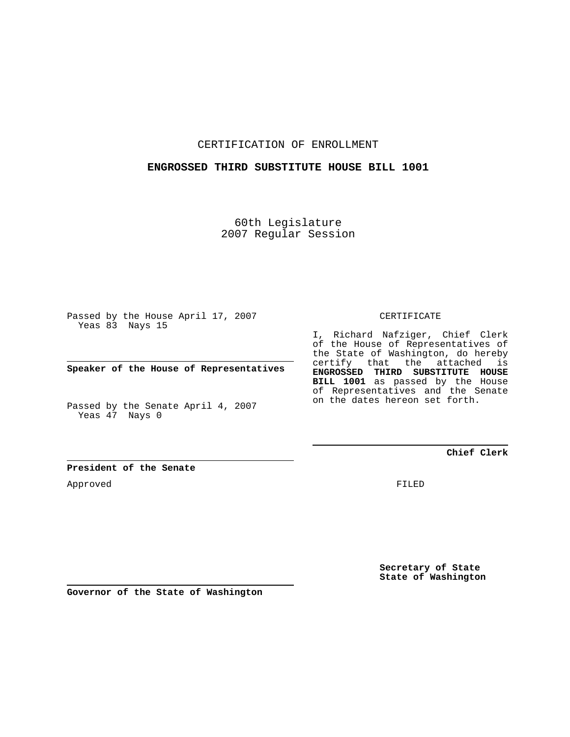#### CERTIFICATION OF ENROLLMENT

### **ENGROSSED THIRD SUBSTITUTE HOUSE BILL 1001**

60th Legislature 2007 Regular Session

Passed by the House April 17, 2007 Yeas 83 Nays 15

**Speaker of the House of Representatives**

Passed by the Senate April 4, 2007 Yeas 47 Nays 0

CERTIFICATE

I, Richard Nafziger, Chief Clerk of the House of Representatives of the State of Washington, do hereby certify that the attached is **ENGROSSED THIRD SUBSTITUTE HOUSE BILL 1001** as passed by the House of Representatives and the Senate on the dates hereon set forth.

**Chief Clerk**

**President of the Senate**

Approved

FILED

**Secretary of State State of Washington**

**Governor of the State of Washington**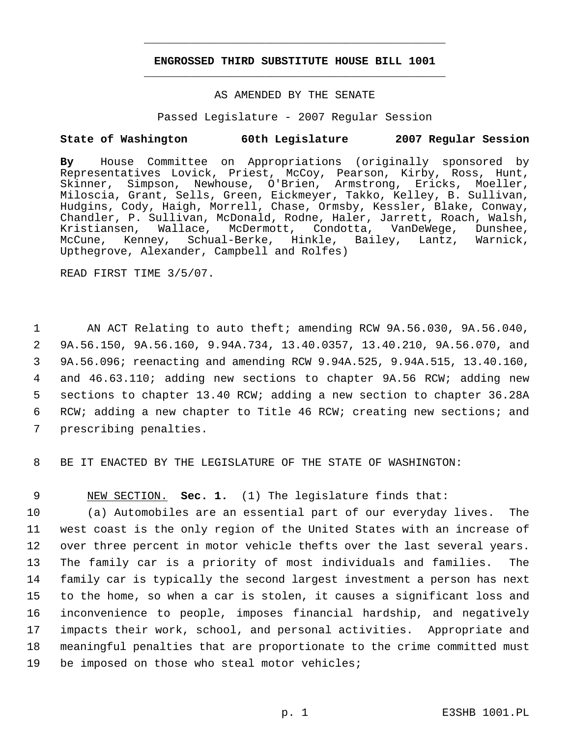## **ENGROSSED THIRD SUBSTITUTE HOUSE BILL 1001** \_\_\_\_\_\_\_\_\_\_\_\_\_\_\_\_\_\_\_\_\_\_\_\_\_\_\_\_\_\_\_\_\_\_\_\_\_\_\_\_\_\_\_\_\_

\_\_\_\_\_\_\_\_\_\_\_\_\_\_\_\_\_\_\_\_\_\_\_\_\_\_\_\_\_\_\_\_\_\_\_\_\_\_\_\_\_\_\_\_\_

#### AS AMENDED BY THE SENATE

Passed Legislature - 2007 Regular Session

#### **State of Washington 60th Legislature 2007 Regular Session**

**By** House Committee on Appropriations (originally sponsored by Representatives Lovick, Priest, McCoy, Pearson, Kirby, Ross, Hunt, Skinner, Simpson, Newhouse, O'Brien, Armstrong, Ericks, Moeller, Miloscia, Grant, Sells, Green, Eickmeyer, Takko, Kelley, B. Sullivan, Hudgins, Cody, Haigh, Morrell, Chase, Ormsby, Kessler, Blake, Conway, Chandler, P. Sullivan, McDonald, Rodne, Haler, Jarrett, Roach, Walsh, Kristiansen, Wallace, McDermott, Condotta, VanDeWege, Dunshee, McCune, Kenney, Schual-Berke, Hinkle, Bailey, Lantz, Warnick, Upthegrove, Alexander, Campbell and Rolfes)

READ FIRST TIME 3/5/07.

 AN ACT Relating to auto theft; amending RCW 9A.56.030, 9A.56.040, 9A.56.150, 9A.56.160, 9.94A.734, 13.40.0357, 13.40.210, 9A.56.070, and 9A.56.096; reenacting and amending RCW 9.94A.525, 9.94A.515, 13.40.160, and 46.63.110; adding new sections to chapter 9A.56 RCW; adding new sections to chapter 13.40 RCW; adding a new section to chapter 36.28A RCW; adding a new chapter to Title 46 RCW; creating new sections; and prescribing penalties.

8 BE IT ENACTED BY THE LEGISLATURE OF THE STATE OF WASHINGTON:

9 NEW SECTION. **Sec. 1.** (1) The legislature finds that:

 (a) Automobiles are an essential part of our everyday lives. The west coast is the only region of the United States with an increase of over three percent in motor vehicle thefts over the last several years. The family car is a priority of most individuals and families. The family car is typically the second largest investment a person has next to the home, so when a car is stolen, it causes a significant loss and inconvenience to people, imposes financial hardship, and negatively impacts their work, school, and personal activities. Appropriate and meaningful penalties that are proportionate to the crime committed must be imposed on those who steal motor vehicles;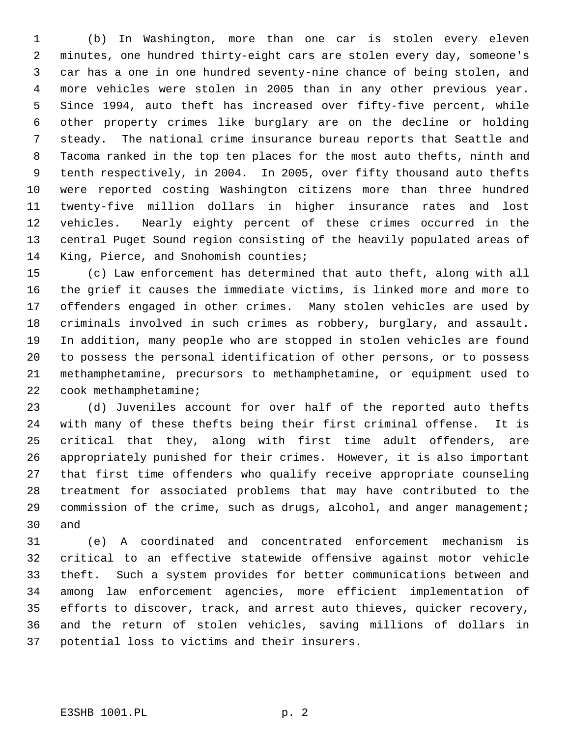(b) In Washington, more than one car is stolen every eleven minutes, one hundred thirty-eight cars are stolen every day, someone's car has a one in one hundred seventy-nine chance of being stolen, and more vehicles were stolen in 2005 than in any other previous year. Since 1994, auto theft has increased over fifty-five percent, while other property crimes like burglary are on the decline or holding steady. The national crime insurance bureau reports that Seattle and Tacoma ranked in the top ten places for the most auto thefts, ninth and tenth respectively, in 2004. In 2005, over fifty thousand auto thefts were reported costing Washington citizens more than three hundred twenty-five million dollars in higher insurance rates and lost vehicles. Nearly eighty percent of these crimes occurred in the central Puget Sound region consisting of the heavily populated areas of King, Pierce, and Snohomish counties;

 (c) Law enforcement has determined that auto theft, along with all the grief it causes the immediate victims, is linked more and more to offenders engaged in other crimes. Many stolen vehicles are used by criminals involved in such crimes as robbery, burglary, and assault. In addition, many people who are stopped in stolen vehicles are found to possess the personal identification of other persons, or to possess methamphetamine, precursors to methamphetamine, or equipment used to cook methamphetamine;

 (d) Juveniles account for over half of the reported auto thefts with many of these thefts being their first criminal offense. It is critical that they, along with first time adult offenders, are appropriately punished for their crimes. However, it is also important that first time offenders who qualify receive appropriate counseling treatment for associated problems that may have contributed to the 29 commission of the crime, such as drugs, alcohol, and anger management; and

 (e) A coordinated and concentrated enforcement mechanism is critical to an effective statewide offensive against motor vehicle theft. Such a system provides for better communications between and among law enforcement agencies, more efficient implementation of efforts to discover, track, and arrest auto thieves, quicker recovery, and the return of stolen vehicles, saving millions of dollars in potential loss to victims and their insurers.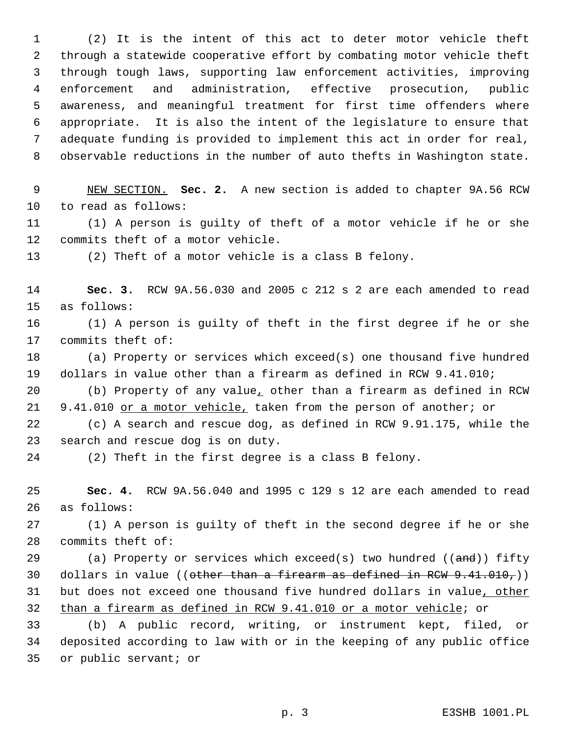(2) It is the intent of this act to deter motor vehicle theft through a statewide cooperative effort by combating motor vehicle theft through tough laws, supporting law enforcement activities, improving enforcement and administration, effective prosecution, public awareness, and meaningful treatment for first time offenders where appropriate. It is also the intent of the legislature to ensure that adequate funding is provided to implement this act in order for real, observable reductions in the number of auto thefts in Washington state.

 NEW SECTION. **Sec. 2.** A new section is added to chapter 9A.56 RCW to read as follows:

 (1) A person is guilty of theft of a motor vehicle if he or she commits theft of a motor vehicle.

(2) Theft of a motor vehicle is a class B felony.

 **Sec. 3.** RCW 9A.56.030 and 2005 c 212 s 2 are each amended to read as follows:

 (1) A person is guilty of theft in the first degree if he or she commits theft of:

 (a) Property or services which exceed(s) one thousand five hundred dollars in value other than a firearm as defined in RCW 9.41.010;

 (b) Property of any value, other than a firearm as defined in RCW 21 9.41.010 or a motor vehicle, taken from the person of another; or

 (c) A search and rescue dog, as defined in RCW 9.91.175, while the search and rescue dog is on duty.

(2) Theft in the first degree is a class B felony.

 **Sec. 4.** RCW 9A.56.040 and 1995 c 129 s 12 are each amended to read as follows:

 (1) A person is guilty of theft in the second degree if he or she commits theft of:

29 (a) Property or services which exceed(s) two hundred  $((\text{and}))$  fifty 30 dollars in value ((other than a firearm as defined in RCW  $9.41.010$ ,)) 31 but does not exceed one thousand five hundred dollars in value, other than a firearm as defined in RCW 9.41.010 or a motor vehicle; or

 (b) A public record, writing, or instrument kept, filed, or deposited according to law with or in the keeping of any public office or public servant; or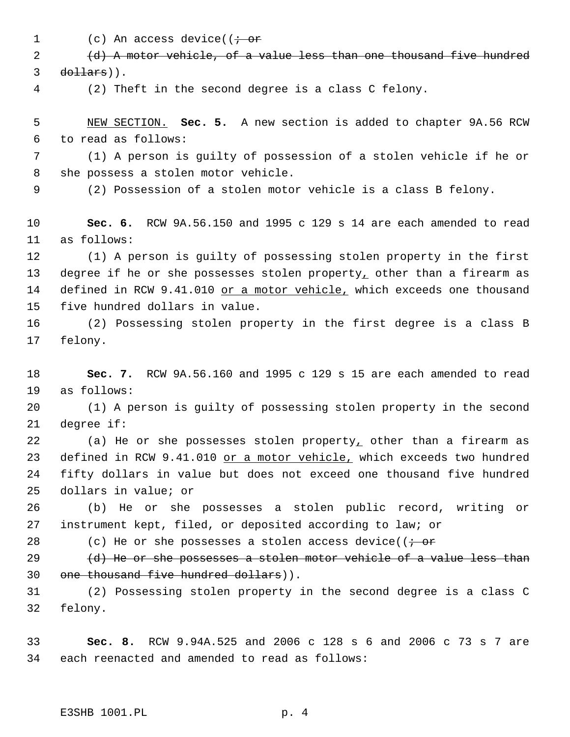1 (c) An access device(( $\dot{\tau}$  or

 (d) A motor vehicle, of a value less than one thousand five hundred dollars)).

(2) Theft in the second degree is a class C felony.

 NEW SECTION. **Sec. 5.** A new section is added to chapter 9A.56 RCW to read as follows:

 (1) A person is guilty of possession of a stolen vehicle if he or she possess a stolen motor vehicle.

(2) Possession of a stolen motor vehicle is a class B felony.

 **Sec. 6.** RCW 9A.56.150 and 1995 c 129 s 14 are each amended to read as follows:

 (1) A person is guilty of possessing stolen property in the first 13 degree if he or she possesses stolen property, other than a firearm as 14 defined in RCW 9.41.010 or a motor vehicle, which exceeds one thousand five hundred dollars in value.

 (2) Possessing stolen property in the first degree is a class B felony.

 **Sec. 7.** RCW 9A.56.160 and 1995 c 129 s 15 are each amended to read as follows:

 (1) A person is guilty of possessing stolen property in the second degree if:

 (a) He or she possesses stolen property, other than a firearm as 23 defined in RCW 9.41.010 or a motor vehicle, which exceeds two hundred fifty dollars in value but does not exceed one thousand five hundred dollars in value; or

 (b) He or she possesses a stolen public record, writing or instrument kept, filed, or deposited according to law; or

28 (c) He or she possesses a stolen access device( $\overline{(-\text{or}]}$ 

29  $(d)$  He or she possesses a stolen motor vehicle of a value less than one thousand five hundred dollars)).

 (2) Possessing stolen property in the second degree is a class C felony.

 **Sec. 8.** RCW 9.94A.525 and 2006 c 128 s 6 and 2006 c 73 s 7 are each reenacted and amended to read as follows: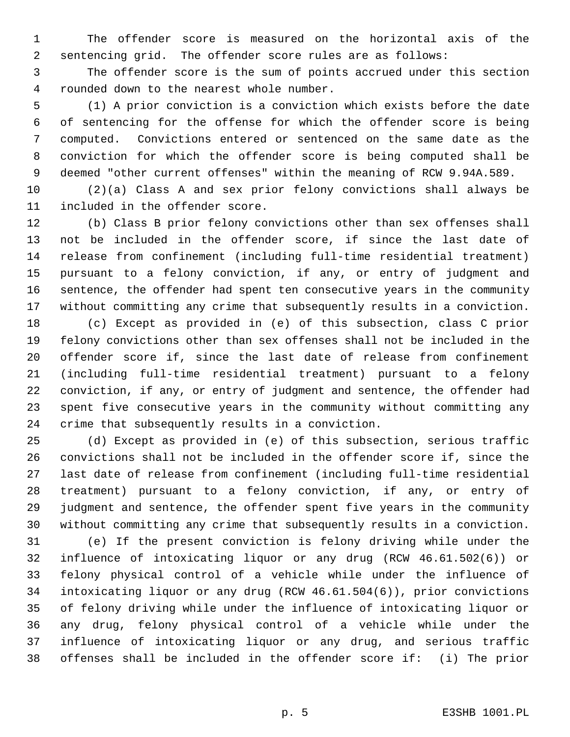The offender score is measured on the horizontal axis of the sentencing grid. The offender score rules are as follows:

 The offender score is the sum of points accrued under this section rounded down to the nearest whole number.

 (1) A prior conviction is a conviction which exists before the date of sentencing for the offense for which the offender score is being computed. Convictions entered or sentenced on the same date as the conviction for which the offender score is being computed shall be deemed "other current offenses" within the meaning of RCW 9.94A.589.

 (2)(a) Class A and sex prior felony convictions shall always be included in the offender score.

 (b) Class B prior felony convictions other than sex offenses shall not be included in the offender score, if since the last date of release from confinement (including full-time residential treatment) pursuant to a felony conviction, if any, or entry of judgment and sentence, the offender had spent ten consecutive years in the community without committing any crime that subsequently results in a conviction.

 (c) Except as provided in (e) of this subsection, class C prior felony convictions other than sex offenses shall not be included in the offender score if, since the last date of release from confinement (including full-time residential treatment) pursuant to a felony conviction, if any, or entry of judgment and sentence, the offender had spent five consecutive years in the community without committing any crime that subsequently results in a conviction.

 (d) Except as provided in (e) of this subsection, serious traffic convictions shall not be included in the offender score if, since the last date of release from confinement (including full-time residential treatment) pursuant to a felony conviction, if any, or entry of judgment and sentence, the offender spent five years in the community without committing any crime that subsequently results in a conviction.

 (e) If the present conviction is felony driving while under the influence of intoxicating liquor or any drug (RCW 46.61.502(6)) or felony physical control of a vehicle while under the influence of intoxicating liquor or any drug (RCW 46.61.504(6)), prior convictions of felony driving while under the influence of intoxicating liquor or any drug, felony physical control of a vehicle while under the influence of intoxicating liquor or any drug, and serious traffic offenses shall be included in the offender score if: (i) The prior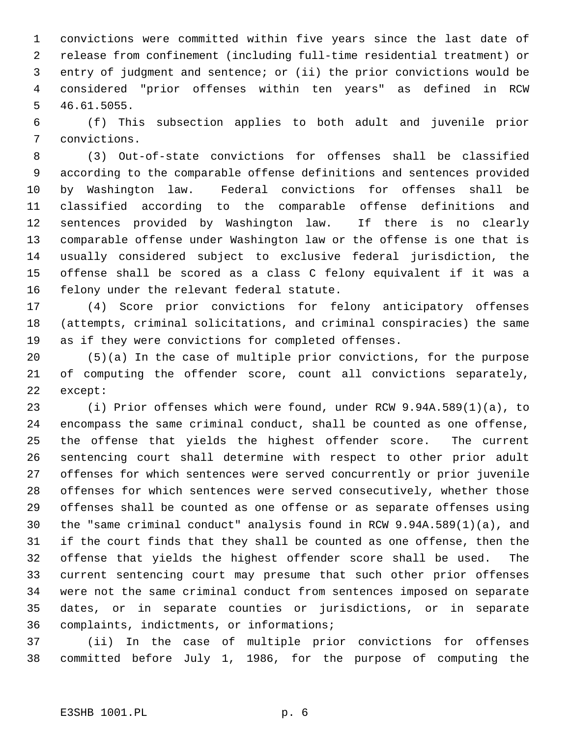convictions were committed within five years since the last date of release from confinement (including full-time residential treatment) or entry of judgment and sentence; or (ii) the prior convictions would be considered "prior offenses within ten years" as defined in RCW 46.61.5055.

 (f) This subsection applies to both adult and juvenile prior convictions.

 (3) Out-of-state convictions for offenses shall be classified according to the comparable offense definitions and sentences provided by Washington law. Federal convictions for offenses shall be classified according to the comparable offense definitions and sentences provided by Washington law. If there is no clearly comparable offense under Washington law or the offense is one that is usually considered subject to exclusive federal jurisdiction, the offense shall be scored as a class C felony equivalent if it was a felony under the relevant federal statute.

 (4) Score prior convictions for felony anticipatory offenses (attempts, criminal solicitations, and criminal conspiracies) the same as if they were convictions for completed offenses.

 (5)(a) In the case of multiple prior convictions, for the purpose of computing the offender score, count all convictions separately, except:

 (i) Prior offenses which were found, under RCW 9.94A.589(1)(a), to encompass the same criminal conduct, shall be counted as one offense, the offense that yields the highest offender score. The current sentencing court shall determine with respect to other prior adult offenses for which sentences were served concurrently or prior juvenile offenses for which sentences were served consecutively, whether those offenses shall be counted as one offense or as separate offenses using the "same criminal conduct" analysis found in RCW 9.94A.589(1)(a), and if the court finds that they shall be counted as one offense, then the offense that yields the highest offender score shall be used. The current sentencing court may presume that such other prior offenses were not the same criminal conduct from sentences imposed on separate dates, or in separate counties or jurisdictions, or in separate complaints, indictments, or informations;

 (ii) In the case of multiple prior convictions for offenses committed before July 1, 1986, for the purpose of computing the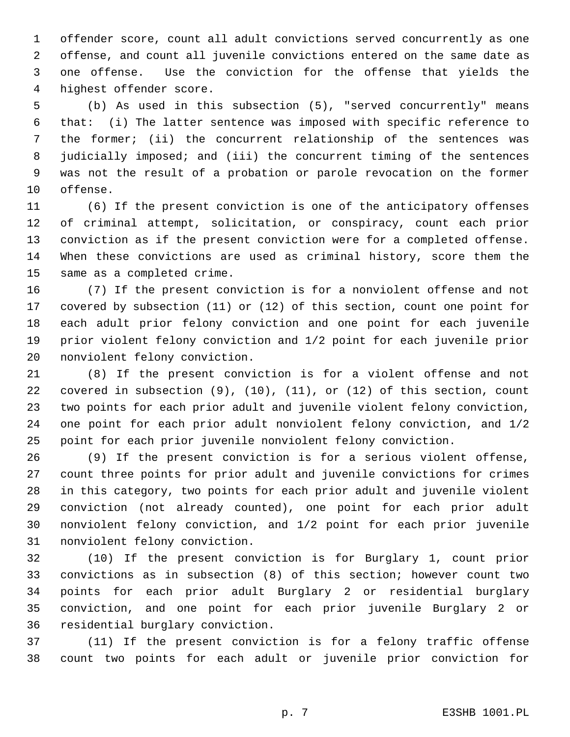offender score, count all adult convictions served concurrently as one offense, and count all juvenile convictions entered on the same date as one offense. Use the conviction for the offense that yields the highest offender score.

 (b) As used in this subsection (5), "served concurrently" means that: (i) The latter sentence was imposed with specific reference to the former; (ii) the concurrent relationship of the sentences was judicially imposed; and (iii) the concurrent timing of the sentences was not the result of a probation or parole revocation on the former offense.

 (6) If the present conviction is one of the anticipatory offenses of criminal attempt, solicitation, or conspiracy, count each prior conviction as if the present conviction were for a completed offense. When these convictions are used as criminal history, score them the same as a completed crime.

 (7) If the present conviction is for a nonviolent offense and not covered by subsection (11) or (12) of this section, count one point for each adult prior felony conviction and one point for each juvenile prior violent felony conviction and 1/2 point for each juvenile prior nonviolent felony conviction.

 (8) If the present conviction is for a violent offense and not covered in subsection (9), (10), (11), or (12) of this section, count two points for each prior adult and juvenile violent felony conviction, one point for each prior adult nonviolent felony conviction, and 1/2 point for each prior juvenile nonviolent felony conviction.

 (9) If the present conviction is for a serious violent offense, count three points for prior adult and juvenile convictions for crimes in this category, two points for each prior adult and juvenile violent conviction (not already counted), one point for each prior adult nonviolent felony conviction, and 1/2 point for each prior juvenile nonviolent felony conviction.

 (10) If the present conviction is for Burglary 1, count prior convictions as in subsection (8) of this section; however count two points for each prior adult Burglary 2 or residential burglary conviction, and one point for each prior juvenile Burglary 2 or residential burglary conviction.

 (11) If the present conviction is for a felony traffic offense count two points for each adult or juvenile prior conviction for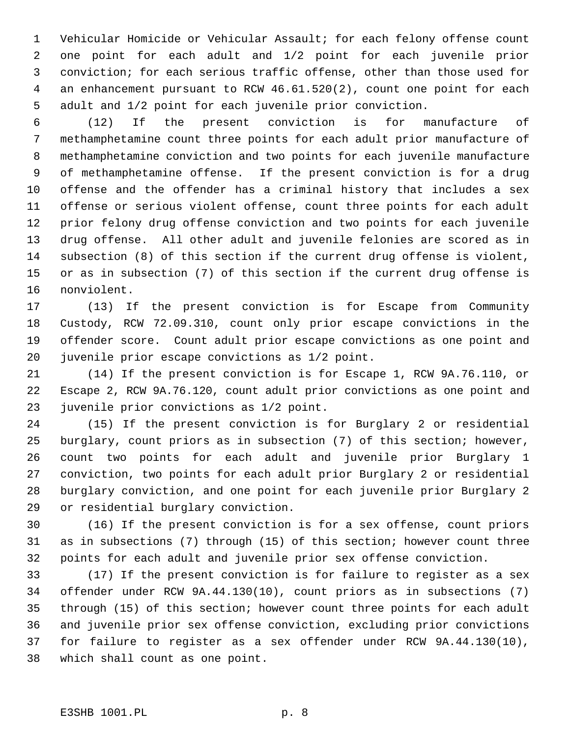Vehicular Homicide or Vehicular Assault; for each felony offense count one point for each adult and 1/2 point for each juvenile prior conviction; for each serious traffic offense, other than those used for an enhancement pursuant to RCW 46.61.520(2), count one point for each adult and 1/2 point for each juvenile prior conviction.

 (12) If the present conviction is for manufacture of methamphetamine count three points for each adult prior manufacture of methamphetamine conviction and two points for each juvenile manufacture of methamphetamine offense. If the present conviction is for a drug offense and the offender has a criminal history that includes a sex offense or serious violent offense, count three points for each adult prior felony drug offense conviction and two points for each juvenile drug offense. All other adult and juvenile felonies are scored as in subsection (8) of this section if the current drug offense is violent, or as in subsection (7) of this section if the current drug offense is nonviolent.

 (13) If the present conviction is for Escape from Community Custody, RCW 72.09.310, count only prior escape convictions in the offender score. Count adult prior escape convictions as one point and juvenile prior escape convictions as 1/2 point.

 (14) If the present conviction is for Escape 1, RCW 9A.76.110, or Escape 2, RCW 9A.76.120, count adult prior convictions as one point and juvenile prior convictions as 1/2 point.

 (15) If the present conviction is for Burglary 2 or residential burglary, count priors as in subsection (7) of this section; however, count two points for each adult and juvenile prior Burglary 1 conviction, two points for each adult prior Burglary 2 or residential burglary conviction, and one point for each juvenile prior Burglary 2 or residential burglary conviction.

 (16) If the present conviction is for a sex offense, count priors as in subsections (7) through (15) of this section; however count three points for each adult and juvenile prior sex offense conviction.

 (17) If the present conviction is for failure to register as a sex offender under RCW 9A.44.130(10), count priors as in subsections (7) through (15) of this section; however count three points for each adult and juvenile prior sex offense conviction, excluding prior convictions for failure to register as a sex offender under RCW 9A.44.130(10), which shall count as one point.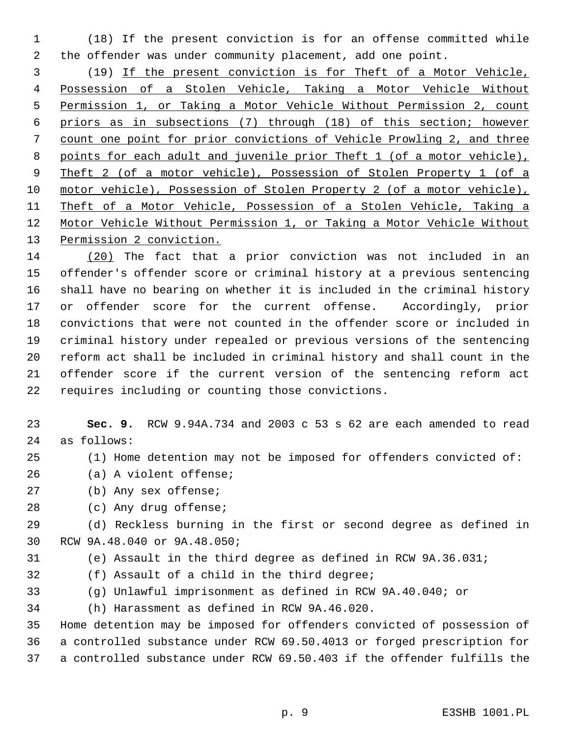(18) If the present conviction is for an offense committed while the offender was under community placement, add one point.

 (19) If the present conviction is for Theft of a Motor Vehicle, Possession of a Stolen Vehicle, Taking a Motor Vehicle Without Permission 1, or Taking a Motor Vehicle Without Permission 2, count priors as in subsections (7) through (18) of this section; however count one point for prior convictions of Vehicle Prowling 2, and three points for each adult and juvenile prior Theft 1 (of a motor vehicle), Theft 2 (of a motor vehicle), Possession of Stolen Property 1 (of a motor vehicle), Possession of Stolen Property 2 (of a motor vehicle), Theft of a Motor Vehicle, Possession of a Stolen Vehicle, Taking a Motor Vehicle Without Permission 1, or Taking a Motor Vehicle Without 13 Permission 2 conviction.

 (20) The fact that a prior conviction was not included in an offender's offender score or criminal history at a previous sentencing shall have no bearing on whether it is included in the criminal history or offender score for the current offense. Accordingly, prior convictions that were not counted in the offender score or included in criminal history under repealed or previous versions of the sentencing reform act shall be included in criminal history and shall count in the offender score if the current version of the sentencing reform act requires including or counting those convictions.

 **Sec. 9.** RCW 9.94A.734 and 2003 c 53 s 62 are each amended to read as follows:

- (1) Home detention may not be imposed for offenders convicted of:
- (a) A violent offense;
- (b) Any sex offense;
- (c) Any drug offense;

 (d) Reckless burning in the first or second degree as defined in RCW 9A.48.040 or 9A.48.050;

- (e) Assault in the third degree as defined in RCW 9A.36.031;
- (f) Assault of a child in the third degree;
- (g) Unlawful imprisonment as defined in RCW 9A.40.040; or

(h) Harassment as defined in RCW 9A.46.020.

 Home detention may be imposed for offenders convicted of possession of a controlled substance under RCW 69.50.4013 or forged prescription for a controlled substance under RCW 69.50.403 if the offender fulfills the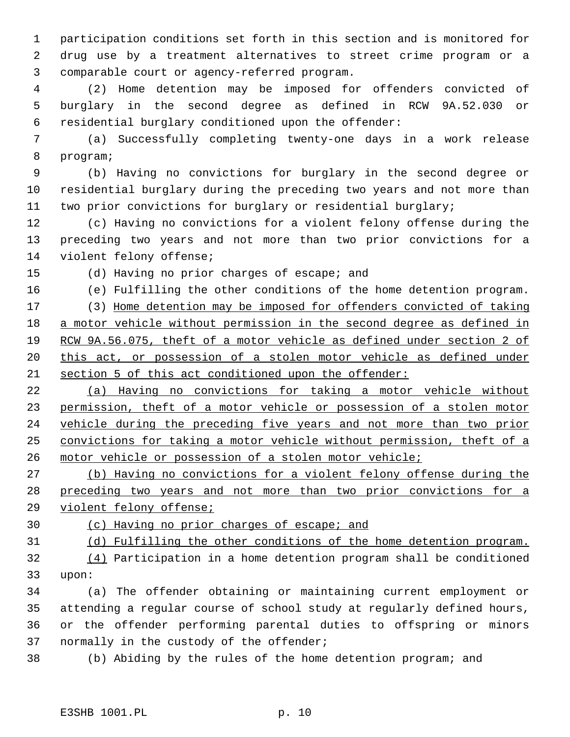participation conditions set forth in this section and is monitored for drug use by a treatment alternatives to street crime program or a comparable court or agency-referred program.

 (2) Home detention may be imposed for offenders convicted of burglary in the second degree as defined in RCW 9A.52.030 or residential burglary conditioned upon the offender:

 (a) Successfully completing twenty-one days in a work release program;

 (b) Having no convictions for burglary in the second degree or residential burglary during the preceding two years and not more than two prior convictions for burglary or residential burglary;

 (c) Having no convictions for a violent felony offense during the preceding two years and not more than two prior convictions for a violent felony offense;

(d) Having no prior charges of escape; and

(e) Fulfilling the other conditions of the home detention program.

 (3) Home detention may be imposed for offenders convicted of taking a motor vehicle without permission in the second degree as defined in RCW 9A.56.075, theft of a motor vehicle as defined under section 2 of 20 this act, or possession of a stolen motor vehicle as defined under section 5 of this act conditioned upon the offender:

 (a) Having no convictions for taking a motor vehicle without permission, theft of a motor vehicle or possession of a stolen motor vehicle during the preceding five years and not more than two prior convictions for taking a motor vehicle without permission, theft of a motor vehicle or possession of a stolen motor vehicle;

 (b) Having no convictions for a violent felony offense during the preceding two years and not more than two prior convictions for a violent felony offense;

(c) Having no prior charges of escape; and

(d) Fulfilling the other conditions of the home detention program.

 (4) Participation in a home detention program shall be conditioned upon:

 (a) The offender obtaining or maintaining current employment or attending a regular course of school study at regularly defined hours, or the offender performing parental duties to offspring or minors normally in the custody of the offender;

(b) Abiding by the rules of the home detention program; and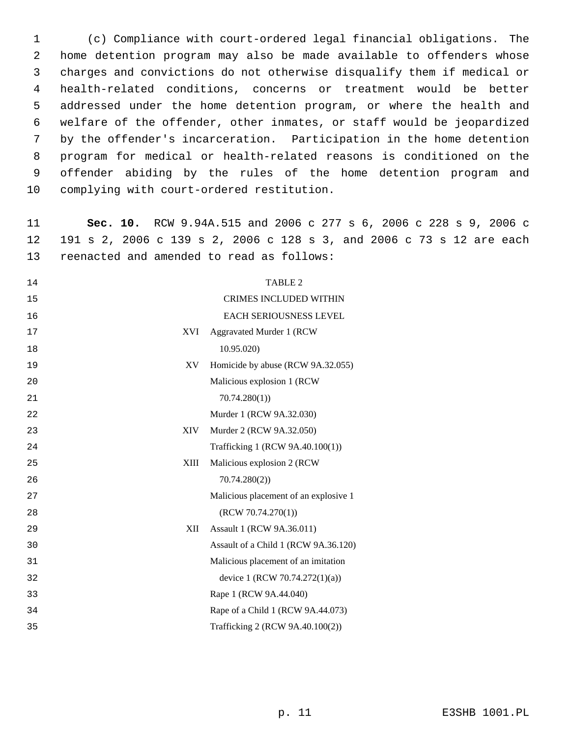(c) Compliance with court-ordered legal financial obligations. The home detention program may also be made available to offenders whose charges and convictions do not otherwise disqualify them if medical or health-related conditions, concerns or treatment would be better addressed under the home detention program, or where the health and welfare of the offender, other inmates, or staff would be jeopardized by the offender's incarceration. Participation in the home detention program for medical or health-related reasons is conditioned on the offender abiding by the rules of the home detention program and complying with court-ordered restitution.

 **Sec. 10.** RCW 9.94A.515 and 2006 c 277 s 6, 2006 c 228 s 9, 2006 c 191 s 2, 2006 c 139 s 2, 2006 c 128 s 3, and 2006 c 73 s 12 are each reenacted and amended to read as follows:

| 14               | <b>TABLE 2</b>                        |
|------------------|---------------------------------------|
| 15               | <b>CRIMES INCLUDED WITHIN</b>         |
| 16               | <b>EACH SERIOUSNESS LEVEL</b>         |
| <b>XVI</b><br>17 | Aggravated Murder 1 (RCW              |
| 18               | 10.95.020)                            |
| 19<br>XV         | Homicide by abuse (RCW 9A.32.055)     |
| 20               | Malicious explosion 1 (RCW            |
| 21               | 70.74.280(1)                          |
| 22               | Murder 1 (RCW 9A.32.030)              |
| 23<br>XIV-       | Murder 2 (RCW 9A.32.050)              |
| 24               | Trafficking 1 (RCW 9A.40.100(1))      |
| XIII<br>25       | Malicious explosion 2 (RCW            |
| 26               | 70.74.280(2)                          |
| 27               | Malicious placement of an explosive 1 |
| 28               | (RCW 70.74.270(1))                    |
| XII<br>29        | Assault 1 (RCW 9A.36.011)             |
| 30               | Assault of a Child 1 (RCW 9A.36.120)  |
| 31               | Malicious placement of an imitation   |
| 32               | device 1 (RCW 70.74.272(1)(a))        |
| 33               | Rape 1 (RCW 9A.44.040)                |
| 34               | Rape of a Child 1 (RCW 9A.44.073)     |
| 35               | Trafficking 2 (RCW 9A.40.100(2))      |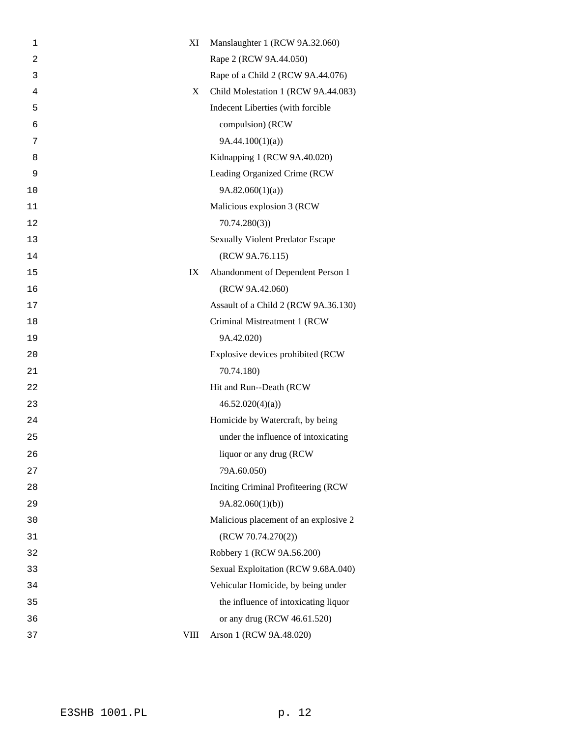| $\mathbf 1$    | XI          | Manslaughter 1 (RCW 9A.32.060)          |
|----------------|-------------|-----------------------------------------|
| $\overline{2}$ |             | Rape 2 (RCW 9A.44.050)                  |
| 3              |             | Rape of a Child 2 (RCW 9A.44.076)       |
| 4              | X           | Child Molestation 1 (RCW 9A.44.083)     |
| 5              |             | Indecent Liberties (with forcible       |
| 6              |             | compulsion) (RCW                        |
| 7              |             | 9A.44.100(1)(a)                         |
| 8              |             | Kidnapping 1 (RCW 9A.40.020)            |
| 9              |             | Leading Organized Crime (RCW            |
| 10             |             | 9A.82.060(1)(a)                         |
| 11             |             | Malicious explosion 3 (RCW              |
| 12             |             | 70.74.280(3)                            |
| 13             |             | <b>Sexually Violent Predator Escape</b> |
| 14             |             | (RCW 9A.76.115)                         |
| 15             | IX          | Abandonment of Dependent Person 1       |
| 16             |             | (RCW 9A.42.060)                         |
| 17             |             | Assault of a Child 2 (RCW 9A.36.130)    |
| 18             |             | Criminal Mistreatment 1 (RCW            |
| 19             |             | 9A.42.020)                              |
| 20             |             | Explosive devices prohibited (RCW       |
| 21             |             | 70.74.180)                              |
| 22             |             | Hit and Run--Death (RCW                 |
| 23             |             | 46.52.020(4)(a)                         |
| 24             |             | Homicide by Watercraft, by being        |
| 25             |             | under the influence of intoxicating     |
| 26             |             | liquor or any drug (RCW)                |
| 27             |             | 79A.60.050)                             |
| 28             |             | Inciting Criminal Profiteering (RCW     |
| 29             |             | 9A.82.060(1)(b)                         |
| 30             |             | Malicious placement of an explosive 2   |
| 31             |             | (RCW 70.74.270(2))                      |
| 32             |             | Robbery 1 (RCW 9A.56.200)               |
| 33             |             | Sexual Exploitation (RCW 9.68A.040)     |
| 34             |             | Vehicular Homicide, by being under      |
| 35             |             | the influence of intoxicating liquor    |
| 36             |             | or any drug (RCW 46.61.520)             |
| 37             | <b>VIII</b> | Arson 1 (RCW 9A.48.020)                 |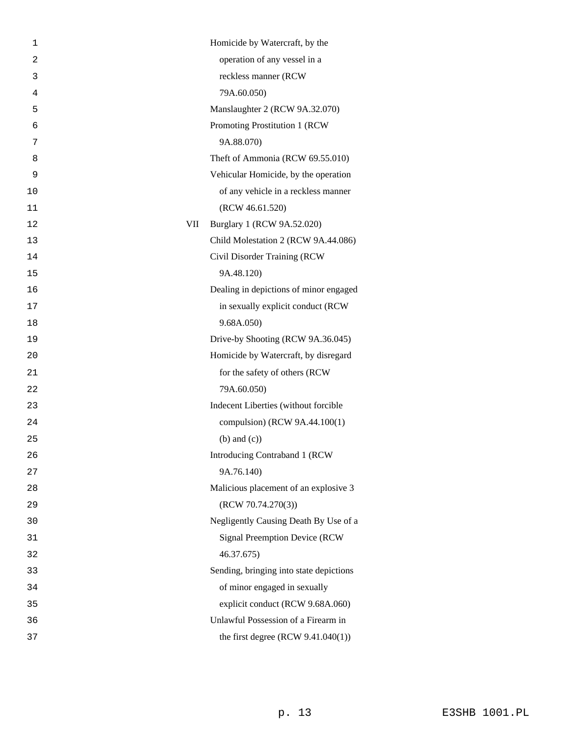| 1  |     | Homicide by Watercraft, by the          |
|----|-----|-----------------------------------------|
| 2  |     | operation of any vessel in a            |
| 3  |     | reckless manner (RCW                    |
| 4  |     | 79A.60.050)                             |
| 5  |     | Manslaughter 2 (RCW 9A.32.070)          |
| 6  |     | Promoting Prostitution 1 (RCW           |
| 7  |     | 9A.88.070)                              |
| 8  |     | Theft of Ammonia (RCW 69.55.010)        |
| 9  |     | Vehicular Homicide, by the operation    |
| 10 |     | of any vehicle in a reckless manner     |
| 11 |     | (RCW 46.61.520)                         |
| 12 | VII | Burglary 1 (RCW 9A.52.020)              |
| 13 |     | Child Molestation 2 (RCW 9A.44.086)     |
| 14 |     | Civil Disorder Training (RCW            |
| 15 |     | 9A.48.120)                              |
| 16 |     | Dealing in depictions of minor engaged  |
| 17 |     | in sexually explicit conduct (RCW       |
| 18 |     | 9.68A.050)                              |
| 19 |     | Drive-by Shooting (RCW 9A.36.045)       |
| 20 |     | Homicide by Watercraft, by disregard    |
| 21 |     | for the safety of others (RCW           |
| 22 |     | 79A.60.050)                             |
| 23 |     | Indecent Liberties (without forcible    |
| 24 |     | compulsion) (RCW 9A.44.100(1)           |
| 25 |     | $(b)$ and $(c)$ )                       |
| 26 |     | Introducing Contraband 1 (RCW           |
| 27 |     | 9A.76.140)                              |
| 28 |     | Malicious placement of an explosive 3   |
| 29 |     | (RCW 70.74.270(3))                      |
| 30 |     | Negligently Causing Death By Use of a   |
| 31 |     | <b>Signal Preemption Device (RCW</b>    |
| 32 |     | 46.37.675)                              |
| 33 |     | Sending, bringing into state depictions |
| 34 |     | of minor engaged in sexually            |
| 35 |     | explicit conduct (RCW 9.68A.060)        |
| 36 |     | Unlawful Possession of a Firearm in     |
| 37 |     | the first degree $(RCW 9.41.040(1))$    |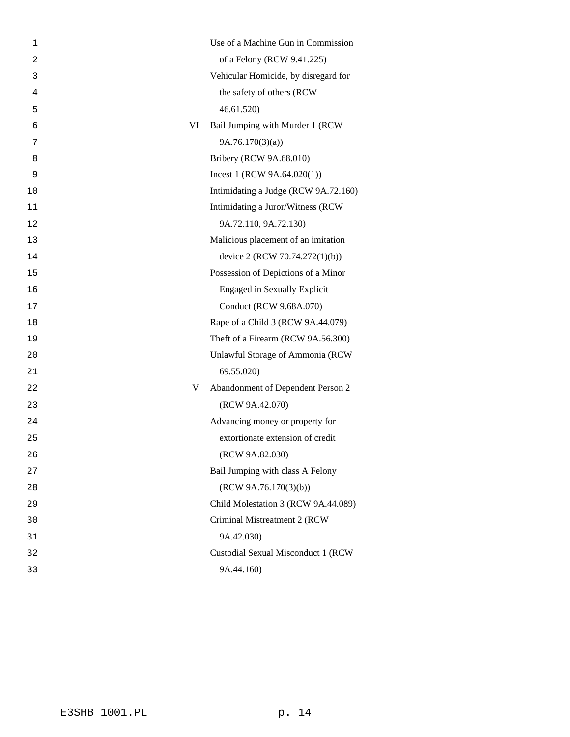| 1              | Use of a Machine Gun in Commission     |
|----------------|----------------------------------------|
| $\overline{c}$ | of a Felony (RCW 9.41.225)             |
| 3              | Vehicular Homicide, by disregard for   |
| 4              | the safety of others (RCW              |
| 5              | 46.61.520)                             |
| 6              | VI<br>Bail Jumping with Murder 1 (RCW  |
| 7              | 9A.76.170(3)(a)                        |
| 8              | Bribery (RCW 9A.68.010)                |
| 9              | Incest 1 (RCW $9A.64.020(1)$ )         |
| 10             | Intimidating a Judge (RCW 9A.72.160)   |
| 11             | Intimidating a Juror/Witness (RCW      |
| 12             | 9A.72.110, 9A.72.130)                  |
| 13             | Malicious placement of an imitation    |
| 14             | device 2 (RCW 70.74.272(1)(b))         |
| 15             | Possession of Depictions of a Minor    |
| 16             | <b>Engaged in Sexually Explicit</b>    |
| 17             | Conduct (RCW 9.68A.070)                |
| 18             | Rape of a Child 3 (RCW 9A.44.079)      |
| 19             | Theft of a Firearm (RCW 9A.56.300)     |
| 20             | Unlawful Storage of Ammonia (RCW       |
| 21             | 69.55.020)                             |
| 22             | Abandonment of Dependent Person 2<br>V |
| 23             | (RCW 9A.42.070)                        |
| 24             | Advancing money or property for        |
| 25             | extortionate extension of credit       |
| 26             | (RCW 9A.82.030)                        |
| 27             | Bail Jumping with class A Felony       |
| 28             | (RCW 9A.76.170(3)(b))                  |
| 29             | Child Molestation 3 (RCW 9A.44.089)    |
| 30             | Criminal Mistreatment 2 (RCW           |
| 31             | 9A.42.030)                             |
| 32             | Custodial Sexual Misconduct 1 (RCW     |
| 33             | 9A.44.160)                             |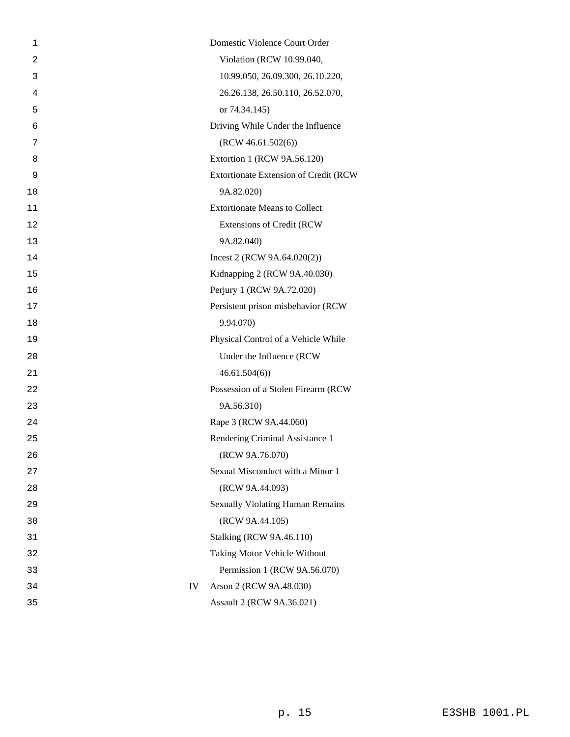| 1              |    | Domestic Violence Court Order           |
|----------------|----|-----------------------------------------|
| $\overline{c}$ |    | Violation (RCW 10.99.040,               |
| 3              |    | 10.99.050, 26.09.300, 26.10.220,        |
| 4              |    | 26.26.138, 26.50.110, 26.52.070,        |
| 5              |    | or 74.34.145)                           |
| 6              |    | Driving While Under the Influence       |
| 7              |    | (RCW 46.61.502(6))                      |
| 8              |    | Extortion 1 (RCW 9A.56.120)             |
| 9              |    | Extortionate Extension of Credit (RCW   |
| 10             |    | 9A.82.020)                              |
| 11             |    | <b>Extortionate Means to Collect</b>    |
| 12             |    | <b>Extensions of Credit (RCW)</b>       |
| 13             |    | 9A.82.040)                              |
| 14             |    | Incest 2 (RCW $9A.64.020(2)$ )          |
| 15             |    | Kidnapping 2 (RCW 9A.40.030)            |
| 16             |    | Perjury 1 (RCW 9A.72.020)               |
| 17             |    | Persistent prison misbehavior (RCW      |
| 18             |    | 9.94.070)                               |
| 19             |    | Physical Control of a Vehicle While     |
| 20             |    | Under the Influence (RCW                |
| 21             |    | 46.61.504(6)                            |
| 22             |    | Possession of a Stolen Firearm (RCW     |
| 23             |    | 9A.56.310)                              |
| 24             |    | Rape 3 (RCW 9A.44.060)                  |
| 25             |    | Rendering Criminal Assistance 1         |
| 26             |    | (RCW 9A.76.070)                         |
| 27             |    | Sexual Misconduct with a Minor 1        |
| 28             |    | (RCW 9A.44.093)                         |
| 29             |    | <b>Sexually Violating Human Remains</b> |
| 30             |    | (RCW 9A.44.105)                         |
| 31             |    | <b>Stalking (RCW 9A.46.110)</b>         |
| 32             |    | Taking Motor Vehicle Without            |
| 33             |    | Permission 1 (RCW 9A.56.070)            |
| 34             | IV | Arson 2 (RCW 9A.48.030)                 |
| 35             |    | Assault 2 (RCW 9A.36.021)               |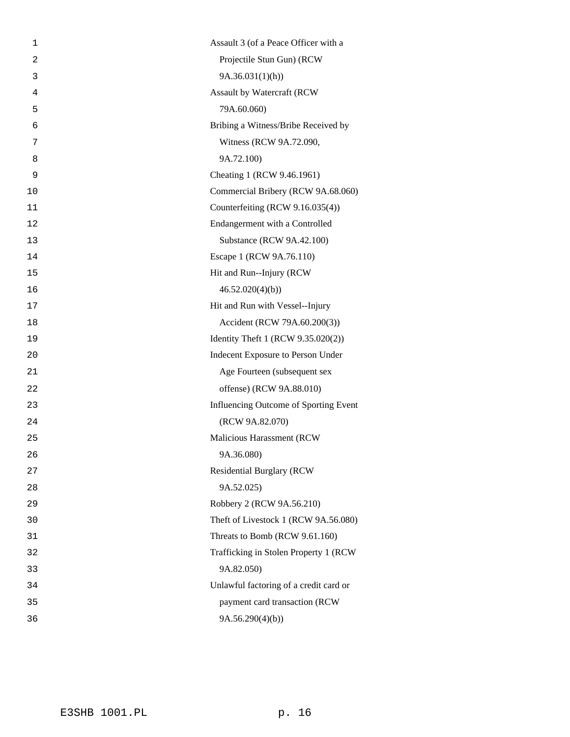| 1  | Assault 3 (of a Peace Officer with a   |
|----|----------------------------------------|
| 2  | Projectile Stun Gun) (RCW              |
| 3  | 9A.36.031(1)(h)                        |
| 4  | Assault by Watercraft (RCW             |
| 5  | 79A.60.060)                            |
| 6  | Bribing a Witness/Bribe Received by    |
| 7  | Witness (RCW 9A.72.090,                |
| 8  | 9A.72.100)                             |
| 9  | Cheating 1 (RCW 9.46.1961)             |
| 10 | Commercial Bribery (RCW 9A.68.060)     |
| 11 | Counterfeiting (RCW 9.16.035(4))       |
| 12 | Endangerment with a Controlled         |
| 13 | Substance (RCW 9A.42.100)              |
| 14 | Escape 1 (RCW 9A.76.110)               |
| 15 | Hit and Run--Injury (RCW               |
| 16 | 46.52.020(4)(b)                        |
| 17 | Hit and Run with Vessel--Injury        |
| 18 | Accident (RCW 79A.60.200(3))           |
| 19 | Identity Theft 1 (RCW 9.35.020(2))     |
| 20 | Indecent Exposure to Person Under      |
| 21 | Age Fourteen (subsequent sex           |
| 22 | offense) (RCW 9A.88.010)               |
| 23 | Influencing Outcome of Sporting Event  |
| 24 | (RCW 9A.82.070)                        |
| 25 | Malicious Harassment (RCW              |
| 26 | 9A.36.080)                             |
| 27 | <b>Residential Burglary (RCW</b>       |
| 28 | 9A.52.025)                             |
| 29 | Robbery 2 (RCW 9A.56.210)              |
| 30 | Theft of Livestock 1 (RCW 9A.56.080)   |
| 31 | Threats to Bomb (RCW 9.61.160)         |
| 32 | Trafficking in Stolen Property 1 (RCW) |
| 33 | 9A.82.050)                             |
| 34 | Unlawful factoring of a credit card or |
| 35 | payment card transaction (RCW          |
| 36 | 9A.56.290(4)(b)                        |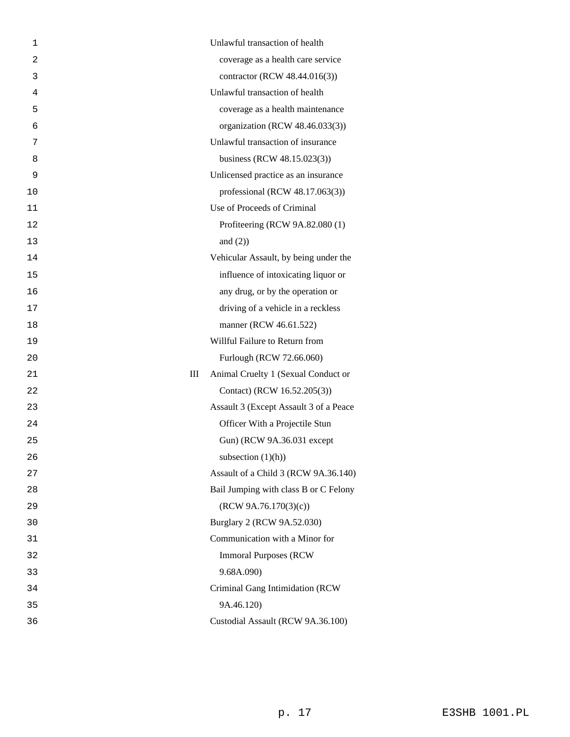| 1              | Unlawful transaction of health           |
|----------------|------------------------------------------|
| $\overline{2}$ | coverage as a health care service        |
| 3              | contractor (RCW 48.44.016(3))            |
| 4              | Unlawful transaction of health           |
| 5              | coverage as a health maintenance         |
| 6              | organization (RCW 48.46.033(3))          |
| 7              | Unlawful transaction of insurance        |
| 8              | business (RCW 48.15.023(3))              |
| 9              | Unlicensed practice as an insurance      |
| 10             | professional (RCW $48.17.063(3)$ )       |
| 11             | Use of Proceeds of Criminal              |
| 12             | Profiteering (RCW 9A.82.080 (1)          |
| 13             | and $(2)$ )                              |
| 14             | Vehicular Assault, by being under the    |
| 15             | influence of intoxicating liquor or      |
| 16             | any drug, or by the operation or         |
| 17             | driving of a vehicle in a reckless       |
| 18             | manner (RCW 46.61.522)                   |
| 19             | Willful Failure to Return from           |
| 20             | Furlough (RCW 72.66.060)                 |
| 21             | Ш<br>Animal Cruelty 1 (Sexual Conduct or |
| 22             | Contact) (RCW 16.52.205(3))              |
| 23             | Assault 3 (Except Assault 3 of a Peace   |
| 24             | Officer With a Projectile Stun           |
| 25             | Gun) (RCW 9A.36.031 except               |
| 26             | subsection $(1)(h)$                      |
| 27             | Assault of a Child 3 (RCW 9A.36.140)     |
| 28             | Bail Jumping with class B or C Felony    |
| 29             | (RCW 9A.76.170(3)(c))                    |
| 30             | Burglary 2 (RCW 9A.52.030)               |
| 31             | Communication with a Minor for           |
| 32             | <b>Immoral Purposes (RCW)</b>            |
| 33             | 9.68A.090)                               |
| 34             | Criminal Gang Intimidation (RCW          |
| 35             | 9A.46.120)                               |
| 36             | Custodial Assault (RCW 9A.36.100)        |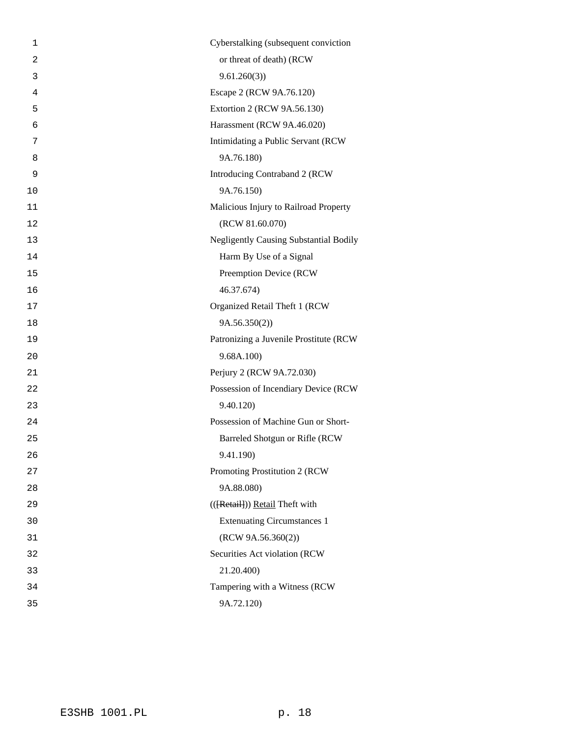| 1              | Cyberstalking (subsequent conviction          |
|----------------|-----------------------------------------------|
| $\overline{a}$ | or threat of death) (RCW                      |
| 3              | 9.61.260(3)                                   |
| 4              | Escape 2 (RCW 9A.76.120)                      |
| 5              | Extortion 2 (RCW 9A.56.130)                   |
| 6              | Harassment (RCW 9A.46.020)                    |
| 7              | Intimidating a Public Servant (RCW            |
| 8              | 9A.76.180)                                    |
| 9              | Introducing Contraband 2 (RCW                 |
| 10             | 9A.76.150)                                    |
| 11             | Malicious Injury to Railroad Property         |
| 12             | (RCW 81.60.070)                               |
| 13             | <b>Negligently Causing Substantial Bodily</b> |
| 14             | Harm By Use of a Signal                       |
| 15             | Preemption Device (RCW                        |
| 16             | 46.37.674)                                    |
| 17             | Organized Retail Theft 1 (RCW                 |
| 18             | 9A.56.350(2)                                  |
| 19             | Patronizing a Juvenile Prostitute (RCW        |
| 20             | 9.68A.100)                                    |
| 21             | Perjury 2 (RCW 9A.72.030)                     |
| 22             | Possession of Incendiary Device (RCW          |
| 23             | 9.40.120)                                     |
| 24             | Possession of Machine Gun or Short-           |
| 25             | Barreled Shotgun or Rifle (RCW                |
| 26             | 9.41.190)                                     |
| 27             | Promoting Prostitution 2 (RCW                 |
| 28             | 9A.88.080)                                    |
| 29             | (([Retail]) Retail Theft with                 |
| 30             | <b>Extenuating Circumstances 1</b>            |
| 31             | (RCW 9A.56.360(2))                            |
| 32             | Securities Act violation (RCW                 |
| 33             | 21.20.400)                                    |
| 34             | Tampering with a Witness (RCW                 |
| 35             | 9A.72.120)                                    |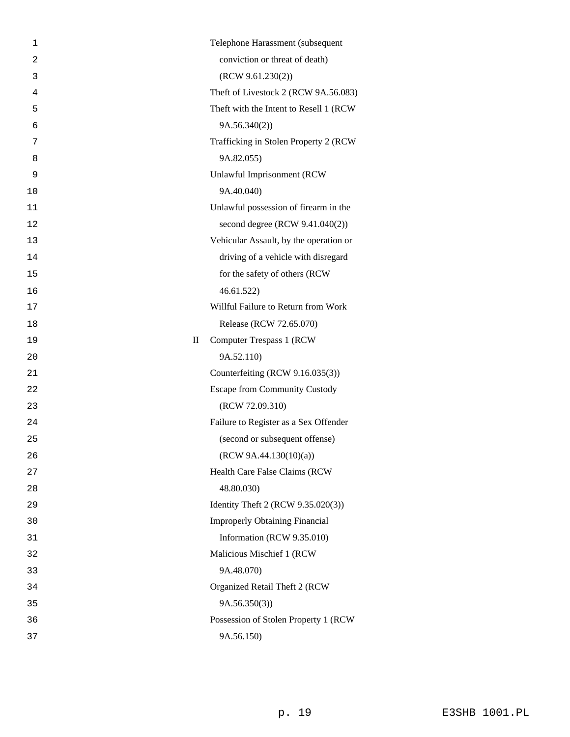| 1              |             | Telephone Harassment (subsequent        |
|----------------|-------------|-----------------------------------------|
| $\overline{2}$ |             | conviction or threat of death)          |
| 3              |             | (RCW 9.61.230(2))                       |
| 4              |             | Theft of Livestock 2 (RCW 9A.56.083)    |
| 5              |             | Theft with the Intent to Resell 1 (RCW) |
| 6              |             | 9A.56.340(2)                            |
| 7              |             | Trafficking in Stolen Property 2 (RCW   |
| 8              |             | 9A.82.055)                              |
| 9              |             | Unlawful Imprisonment (RCW              |
| 10             |             | 9A.40.040)                              |
| 11             |             | Unlawful possession of firearm in the   |
| 12             |             | second degree (RCW 9.41.040(2))         |
| 13             |             | Vehicular Assault, by the operation or  |
| 14             |             | driving of a vehicle with disregard     |
| 15             |             | for the safety of others (RCW           |
| 16             |             | 46.61.522                               |
| 17             |             | Willful Failure to Return from Work     |
| 18             |             | Release (RCW 72.65.070)                 |
| 19             | $\rm _{II}$ | Computer Trespass 1 (RCW)               |
| 20             |             | 9A.52.110)                              |
| 21             |             | Counterfeiting (RCW 9.16.035(3))        |
| 22             |             | <b>Escape from Community Custody</b>    |
| 23             |             | (RCW 72.09.310)                         |
| 24             |             | Failure to Register as a Sex Offender   |
| 25             |             | (second or subsequent offense)          |
| 26             |             | (RCW 9A.44.130(10)(a))                  |
| 27             |             | Health Care False Claims (RCW           |
| 28             |             | 48.80.030)                              |
| 29             |             | Identity Theft 2 (RCW 9.35.020(3))      |
| 30             |             | <b>Improperly Obtaining Financial</b>   |
| 31             |             | Information (RCW 9.35.010)              |
| 32             |             | Malicious Mischief 1 (RCW               |
| 33             |             | 9A.48.070)                              |
| 34             |             | Organized Retail Theft 2 (RCW           |
| 35             |             | 9A.56.350(3)                            |
| 36             |             | Possession of Stolen Property 1 (RCW    |
| 37             |             | 9A.56.150)                              |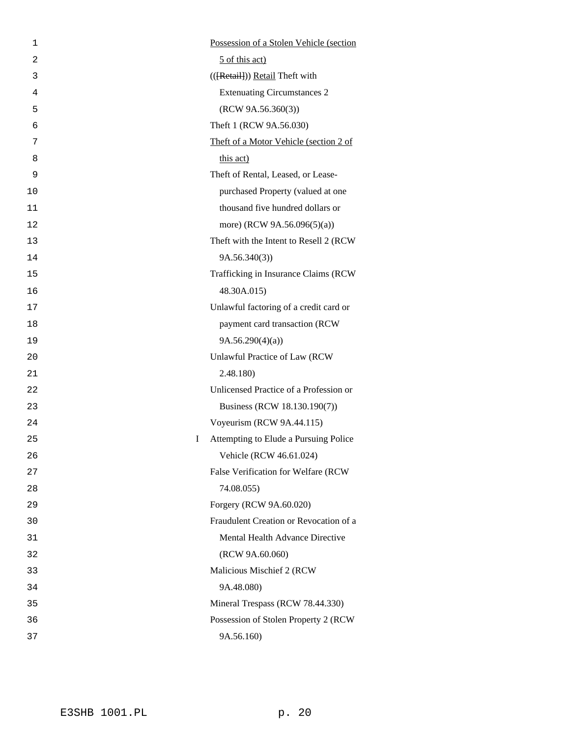| 1  |   | Possession of a Stolen Vehicle (section |
|----|---|-----------------------------------------|
| 2  |   | 5 of this act)                          |
| 3  |   | (([Retail]) Retail Theft with           |
| 4  |   | <b>Extenuating Circumstances 2</b>      |
| 5  |   | (RCW 9A.56.360(3))                      |
| 6  |   | Theft 1 (RCW 9A.56.030)                 |
| 7  |   | Theft of a Motor Vehicle (section 2 of  |
| 8  |   | this act)                               |
| 9  |   | Theft of Rental, Leased, or Lease-      |
| 10 |   | purchased Property (valued at one       |
| 11 |   | thousand five hundred dollars or        |
| 12 |   | more) (RCW 9A.56.096(5)(a))             |
| 13 |   | Theft with the Intent to Resell 2 (RCW  |
| 14 |   | 9A.56.340(3)                            |
| 15 |   | Trafficking in Insurance Claims (RCW    |
| 16 |   | 48.30A.015)                             |
| 17 |   | Unlawful factoring of a credit card or  |
| 18 |   | payment card transaction (RCW           |
| 19 |   | 9A.56.290(4)(a)                         |
| 20 |   | Unlawful Practice of Law (RCW           |
| 21 |   | 2.48.180)                               |
| 22 |   | Unlicensed Practice of a Profession or  |
| 23 |   | Business (RCW 18.130.190(7))            |
| 24 |   | Voyeurism (RCW 9A.44.115)               |
| 25 | I | Attempting to Elude a Pursuing Police   |
| 26 |   | Vehicle (RCW 46.61.024)                 |
| 27 |   | False Verification for Welfare (RCW     |
| 28 |   | 74.08.055)                              |
| 29 |   | Forgery (RCW 9A.60.020)                 |
| 30 |   | Fraudulent Creation or Revocation of a  |
| 31 |   | Mental Health Advance Directive         |
| 32 |   | (RCW 9A.60.060)                         |
| 33 |   | Malicious Mischief 2 (RCW               |
| 34 |   | 9A.48.080)                              |
| 35 |   | Mineral Trespass (RCW 78.44.330)        |
| 36 |   | Possession of Stolen Property 2 (RCW    |
| 37 |   | 9A.56.160)                              |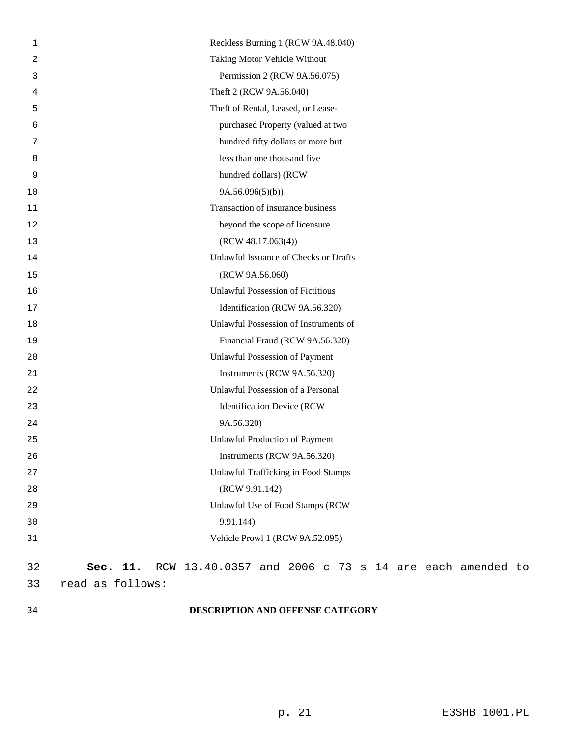| 1  | Reckless Burning 1 (RCW 9A.48.040)                                |
|----|-------------------------------------------------------------------|
| 2  | Taking Motor Vehicle Without                                      |
| 3  | Permission 2 (RCW 9A.56.075)                                      |
| 4  | Theft 2 (RCW 9A.56.040)                                           |
| 5  | Theft of Rental, Leased, or Lease-                                |
| 6  | purchased Property (valued at two                                 |
| 7  | hundred fifty dollars or more but                                 |
| 8  | less than one thousand five                                       |
| 9  | hundred dollars) (RCW                                             |
| 10 | 9A.56.096(5)(b)                                                   |
| 11 | Transaction of insurance business                                 |
| 12 | beyond the scope of licensure                                     |
| 13 | (RCW 48.17.063(4))                                                |
| 14 | Unlawful Issuance of Checks or Drafts                             |
| 15 | (RCW 9A.56.060)                                                   |
| 16 | <b>Unlawful Possession of Fictitious</b>                          |
| 17 | Identification (RCW 9A.56.320)                                    |
| 18 | Unlawful Possession of Instruments of                             |
| 19 | Financial Fraud (RCW 9A.56.320)                                   |
| 20 | Unlawful Possession of Payment                                    |
| 21 | Instruments (RCW 9A.56.320)                                       |
| 22 | Unlawful Possession of a Personal                                 |
| 23 | <b>Identification Device (RCW</b>                                 |
| 24 | 9A.56.320)                                                        |
| 25 | <b>Unlawful Production of Payment</b>                             |
| 26 | Instruments (RCW 9A.56.320)                                       |
| 27 | <b>Unlawful Trafficking in Food Stamps</b>                        |
| 28 | (RCW 9.91.142)                                                    |
| 29 | Unlawful Use of Food Stamps (RCW                                  |
| 30 | 9.91.144)                                                         |
| 31 | Vehicle Prowl 1 (RCW 9A.52.095)                                   |
| 32 | RCW 13.40.0357 and 2006 c 73 s 14 are each amended to<br>Sec. 11. |
| 33 | read as follows:                                                  |
|    |                                                                   |

## 34 **DESCRIPTION AND OFFENSE CATEGORY**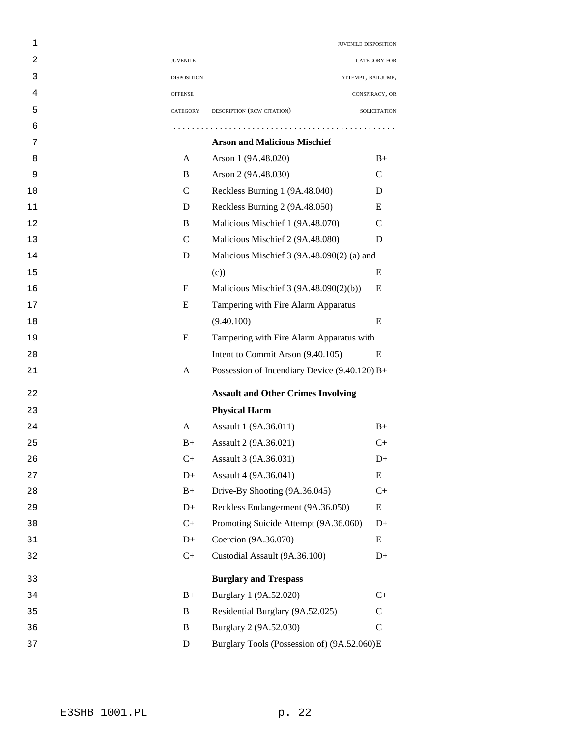| 1  |                    | JUVENILE DISPOSITION                          |                     |
|----|--------------------|-----------------------------------------------|---------------------|
| 2  | <b>JUVENILE</b>    |                                               | <b>CATEGORY FOR</b> |
| 3  | <b>DISPOSITION</b> |                                               | ATTEMPT, BAILJUMP,  |
| 4  | <b>OFFENSE</b>     |                                               | CONSPIRACY, OR      |
| 5  | CATEGORY           | DESCRIPTION (RCW CITATION)                    | SOLICITATION        |
| 6  |                    |                                               |                     |
| 7  |                    | <b>Arson and Malicious Mischief</b>           |                     |
| 8  | A                  | Arson 1 (9A.48.020)                           | $B+$                |
| 9  | B                  | Arson 2 (9A.48.030)                           | $\mathcal{C}$       |
| 10 | $\mathcal{C}$      | Reckless Burning 1 (9A.48.040)                | D                   |
| 11 | D                  | Reckless Burning 2 (9A.48.050)                | E                   |
| 12 | B                  | Malicious Mischief 1 (9A.48.070)              | C                   |
| 13 | $\mathcal{C}$      | Malicious Mischief 2 (9A.48.080)              | D                   |
| 14 | D                  | Malicious Mischief 3 (9A.48.090(2) (a) and    |                     |
| 15 |                    | (c)                                           | E                   |
| 16 | E                  | Malicious Mischief 3 (9A.48.090(2)(b))        | E                   |
| 17 | E                  | Tampering with Fire Alarm Apparatus           |                     |
| 18 |                    | (9.40.100)                                    | E                   |
| 19 | E                  | Tampering with Fire Alarm Apparatus with      |                     |
| 20 |                    | Intent to Commit Arson (9.40.105)             | E                   |
| 21 | A                  | Possession of Incendiary Device (9.40.120) B+ |                     |
| 22 |                    | <b>Assault and Other Crimes Involving</b>     |                     |
| 23 |                    | <b>Physical Harm</b>                          |                     |
| 24 | A                  | Assault 1 (9A.36.011)                         | $B+$                |
| 25 | $B+$               | Assault 2 (9A.36.021)                         | $C+$                |
| 26 | $C+$               | Assault 3 (9A.36.031)                         | $D+$                |
| 27 | $D+$               | Assault 4 (9A.36.041)                         | E                   |
| 28 | $B+$               | Drive-By Shooting (9A.36.045)                 | $C+$                |
| 29 | $D+$               | Reckless Endangerment (9A.36.050)             | E                   |
| 30 | $C+$               | Promoting Suicide Attempt (9A.36.060)         | $D+$                |
| 31 | $D+$               | Coercion (9A.36.070)                          | E                   |
| 32 | $C+$               | Custodial Assault (9A.36.100)                 | $D+$                |
| 33 |                    | <b>Burglary and Trespass</b>                  |                     |
| 34 | $B+$               | Burglary 1 (9A.52.020)                        | $C+$                |
| 35 | B                  | Residential Burglary (9A.52.025)              | $\mathsf{C}$        |
| 36 | B                  | Burglary 2 (9A.52.030)                        | $\mathsf{C}$        |
| 37 | D                  | Burglary Tools (Possession of) (9A.52.060)E   |                     |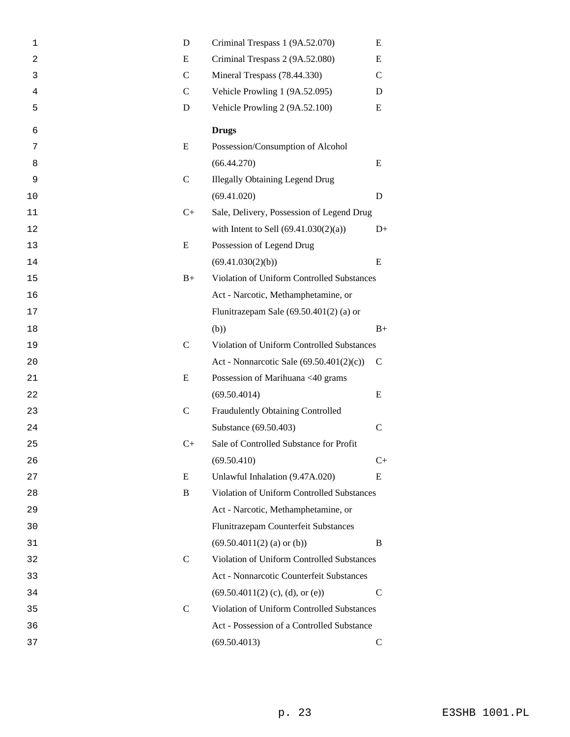| 1  | D             | Criminal Trespass 1 (9A.52.070)            | E             |  |
|----|---------------|--------------------------------------------|---------------|--|
| 2  | E             | Criminal Trespass 2 (9A.52.080)            |               |  |
| 3  | $\mathsf{C}$  | Mineral Trespass (78.44.330)               | $\mathcal{C}$ |  |
| 4  | $\mathcal{C}$ | Vehicle Prowling 1 (9A.52.095)             | D             |  |
| 5  | D             | Vehicle Prowling 2 (9A.52.100)             | E             |  |
| 6  |               | <b>Drugs</b>                               |               |  |
| 7  | E             | Possession/Consumption of Alcohol          |               |  |
| 8  |               | (66.44.270)                                | E             |  |
| 9  | $\mathsf{C}$  | <b>Illegally Obtaining Legend Drug</b>     |               |  |
| 10 |               | (69.41.020)                                | D             |  |
| 11 | $C+$          | Sale, Delivery, Possession of Legend Drug  |               |  |
| 12 |               | with Intent to Sell $(69.41.030(2)(a))$    | $D+$          |  |
| 13 | E             | Possession of Legend Drug                  |               |  |
| 14 |               | (69.41.030(2)(b))                          | E             |  |
| 15 | $B+$          | Violation of Uniform Controlled Substances |               |  |
| 16 |               | Act - Narcotic, Methamphetamine, or        |               |  |
| 17 |               | Flunitrazepam Sale $(69.50.401(2)$ (a) or  |               |  |
| 18 |               | (b))                                       | $B+$          |  |
| 19 | $\mathsf{C}$  | Violation of Uniform Controlled Substances |               |  |
| 20 |               | Act - Nonnarcotic Sale (69.50.401(2)(c))   | $\mathsf{C}$  |  |
| 21 | E             | Possession of Marihuana <40 grams          |               |  |
| 22 |               | (69.50.4014)                               | E             |  |
| 23 | $\mathsf{C}$  | Fraudulently Obtaining Controlled          |               |  |
| 24 |               | Substance (69.50.403)                      | $\mathsf{C}$  |  |
| 25 | $C+$          | Sale of Controlled Substance for Profit    |               |  |
| 26 |               | (69.50.410)                                | $C+$          |  |
| 27 | E             | Unlawful Inhalation (9.47A.020)            | E             |  |
| 28 | B             | Violation of Uniform Controlled Substances |               |  |
| 29 |               | Act - Narcotic, Methamphetamine, or        |               |  |
| 30 |               | Flunitrazepam Counterfeit Substances       |               |  |
| 31 |               | $(69.50.4011(2)$ (a) or (b))               | B             |  |
| 32 | $\mathsf{C}$  | Violation of Uniform Controlled Substances |               |  |
| 33 |               | Act - Nonnarcotic Counterfeit Substances   |               |  |
| 34 |               | $(69.50.4011(2)$ (c), (d), or (e))         | $\mathcal{C}$ |  |
| 35 | $\mathcal{C}$ | Violation of Uniform Controlled Substances |               |  |
| 36 |               | Act - Possession of a Controlled Substance |               |  |
| 37 |               | (69.50.4013)                               | $\mathsf{C}$  |  |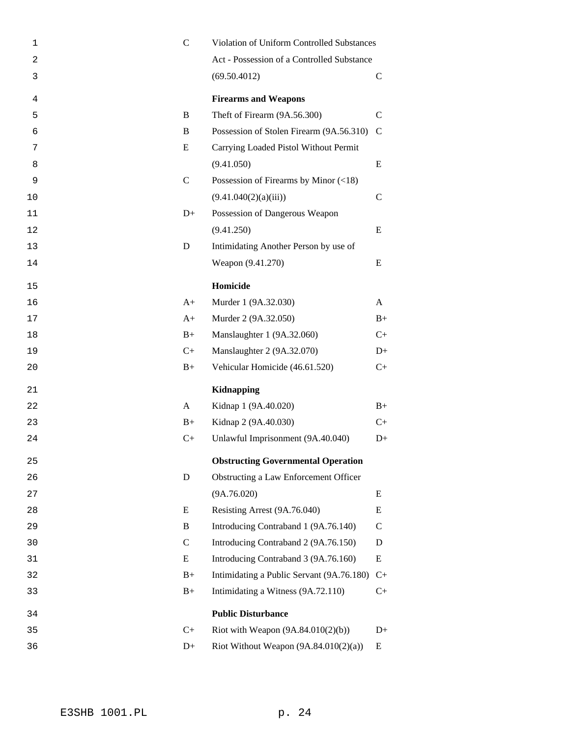| 1  | $\mathbf C$   | Violation of Uniform Controlled Substances  |               |  |
|----|---------------|---------------------------------------------|---------------|--|
| 2  |               | Act - Possession of a Controlled Substance  |               |  |
| 3  |               | (69.50.4012)                                | $\mathsf{C}$  |  |
| 4  |               | <b>Firearms and Weapons</b>                 |               |  |
| 5  | B             | Theft of Firearm (9A.56.300)                | $\mathcal{C}$ |  |
| 6  | B             | Possession of Stolen Firearm (9A.56.310)    | $\mathcal{C}$ |  |
| 7  | E             | Carrying Loaded Pistol Without Permit       |               |  |
| 8  |               | (9.41.050)                                  | E             |  |
| 9  | $\mathcal{C}$ | Possession of Firearms by Minor $(\leq 18)$ |               |  |
| 10 |               | (9.41.040(2)(a)(iii))                       | $\mathcal{C}$ |  |
| 11 | $D+$          | Possession of Dangerous Weapon              |               |  |
| 12 |               | (9.41.250)                                  | E             |  |
| 13 | D             | Intimidating Another Person by use of       |               |  |
| 14 |               | Weapon (9.41.270)                           | E             |  |
| 15 |               | Homicide                                    |               |  |
| 16 | $A+$          | Murder 1 (9A.32.030)                        | A             |  |
| 17 | $A+$          | Murder 2 (9A.32.050)                        | $B+$          |  |
| 18 | $B+$          | Manslaughter 1 (9A.32.060)                  | $C_{+}$       |  |
| 19 | $C+$          | Manslaughter 2 (9A.32.070)                  | $D+$          |  |
| 20 | $B+$          | Vehicular Homicide (46.61.520)              | $C+$          |  |
| 21 |               | <b>Kidnapping</b>                           |               |  |
| 22 | A             | Kidnap 1 (9A.40.020)                        | $B+$          |  |
| 23 | $B+$          | Kidnap 2 (9A.40.030)                        | $C+$          |  |
| 24 | $C+$          | Unlawful Imprisonment (9A.40.040)           | $D+$          |  |
| 25 |               | <b>Obstructing Governmental Operation</b>   |               |  |
| 26 | D             | Obstructing a Law Enforcement Officer       |               |  |
| 27 |               | (9A.76.020)                                 | E             |  |
| 28 | E             | Resisting Arrest (9A.76.040)                | E             |  |
| 29 | B             | Introducing Contraband 1 (9A.76.140)        | $\mathsf{C}$  |  |
| 30 | $\mathbf C$   | Introducing Contraband 2 (9A.76.150)        | D             |  |
| 31 | E             | Introducing Contraband 3 (9A.76.160)        | E             |  |
| 32 | $B+$          | Intimidating a Public Servant (9A.76.180)   | $C+$          |  |
| 33 | $B+$          | Intimidating a Witness (9A.72.110)          | $C+$          |  |
| 34 |               | <b>Public Disturbance</b>                   |               |  |
| 35 | $C+$          | Riot with Weapon $(9A.84.010(2)(b))$        | $D+$          |  |
| 36 | $D+$          | Riot Without Weapon $(9A.84.010(2)(a))$     | Ε             |  |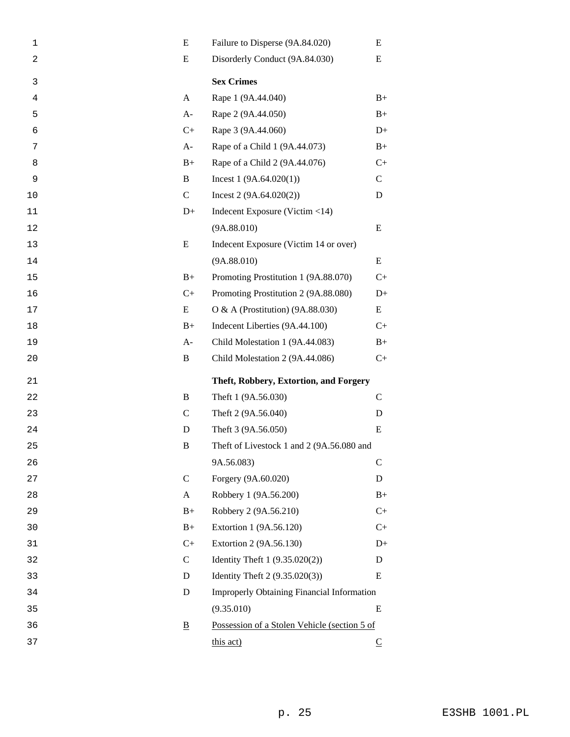| 1              | E                        | Failure to Disperse (9A.84.020)<br>E         |              |  |
|----------------|--------------------------|----------------------------------------------|--------------|--|
| $\overline{c}$ | E                        | Disorderly Conduct (9A.84.030)<br>Ε          |              |  |
| 3              |                          | <b>Sex Crimes</b>                            |              |  |
| 4              | A                        | Rape 1 (9A.44.040)                           | $B+$         |  |
| 5              | $A-$                     | Rape 2 (9A.44.050)                           | $B+$         |  |
| 6              | $C+$                     | Rape 3 (9A.44.060)                           | $D+$         |  |
| 7              | $A-$                     | Rape of a Child 1 (9A.44.073)                | $B+$         |  |
| 8              | $B+$                     | Rape of a Child 2 (9A.44.076)                | $C+$         |  |
| 9              | B                        | Incest $1(9A.64.020(1))$                     | $\mathbf C$  |  |
| 10             | $\mathbf C$              | Incest $2(9A.64.020(2))$                     | D            |  |
| 11             | $D+$                     | Indecent Exposure (Victim <14)               |              |  |
| 12             |                          | (9A.88.010)                                  | E            |  |
| 13             | E                        | Indecent Exposure (Victim 14 or over)        |              |  |
| 14             |                          | (9A.88.010)                                  | E            |  |
| 15             | $B+$                     | Promoting Prostitution 1 (9A.88.070)         | $C+$         |  |
| 16             | $C+$                     | Promoting Prostitution 2 (9A.88.080)         | $D+$         |  |
| 17             | E                        | O & A (Prostitution) (9A.88.030)             | E            |  |
| 18             | $B+$                     | Indecent Liberties (9A.44.100)               | $C+$         |  |
| 19             | $A-$                     | Child Molestation 1 (9A.44.083)              | $B+$         |  |
|                |                          |                                              |              |  |
| 20             | B                        | Child Molestation 2 (9A.44.086)              | $C+$         |  |
| 21             |                          | Theft, Robbery, Extortion, and Forgery       |              |  |
| 22             | B                        | Theft 1 (9A.56.030)                          | $\mathsf{C}$ |  |
| 23             | $\mathsf{C}$             | Theft 2 (9A.56.040)                          | D            |  |
| 24             | D                        | Theft 3 (9A.56.050)                          | E            |  |
| 25             | B                        | Theft of Livestock 1 and 2 (9A.56.080 and    |              |  |
| 26             |                          | 9A.56.083)                                   | $\mathbf C$  |  |
| 27             | $\mathbf C$              | Forgery (9A.60.020)                          | D            |  |
| 28             | A                        | Robbery 1 (9A.56.200)                        | $B+$         |  |
| 29             | $B+$                     | Robbery 2 (9A.56.210)                        | $C+$         |  |
| 30             | $B+$                     | Extortion 1 (9A.56.120)                      | $C+$         |  |
| 31             | $C+$                     | Extortion 2 (9A.56.130)                      | $D+$         |  |
| 32             | $\mathbf C$              | Identity Theft 1 (9.35.020(2))               | D            |  |
| 33             | D                        | Identity Theft 2 (9.35.020(3))               | E            |  |
| 34             | D                        | Improperly Obtaining Financial Information   |              |  |
| 35             |                          | (9.35.010)                                   | E            |  |
| 36             | $\underline{\mathbf{B}}$ | Possession of a Stolen Vehicle (section 5 of |              |  |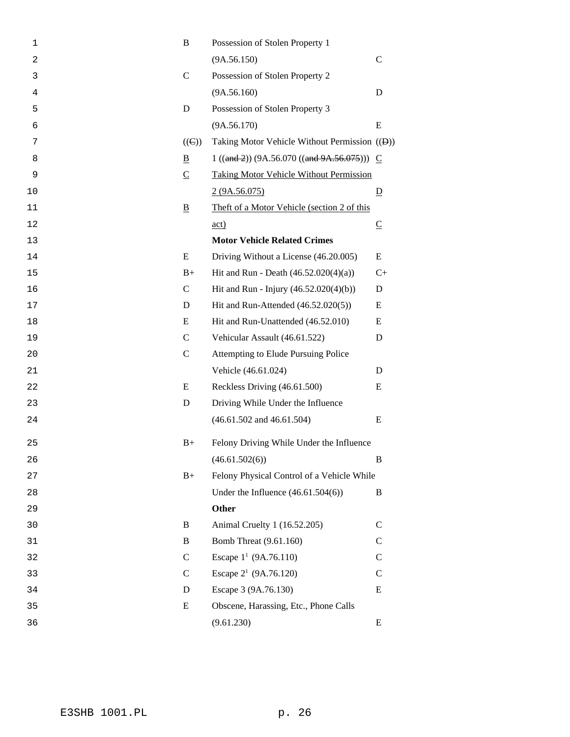| $\mathbf 1$ | B              | Possession of Stolen Property 1                            |                         |
|-------------|----------------|------------------------------------------------------------|-------------------------|
| 2           |                | (9A.56.150)                                                | $\mathbf C$             |
| 3           | $\mathcal{C}$  | Possession of Stolen Property 2                            |                         |
| 4           |                | (9A.56.160)                                                | D                       |
| 5           | D              | Possession of Stolen Property 3                            |                         |
| 6           |                | (9A.56.170)                                                | E                       |
| 7           | $((\Theta))$   | Taking Motor Vehicle Without Permission (( <del>D</del> )) |                         |
| 8           | B              | $1 ((and 2)) (9A.56.070 ((and 9A.56.075)))$ C              |                         |
| 9           | $\overline{C}$ | <b>Taking Motor Vehicle Without Permission</b>             |                         |
| 10          |                | 2(9A.56.075)                                               | $\overline{D}$          |
| 11          | $\overline{B}$ | Theft of a Motor Vehicle (section 2 of this                |                         |
| 12          |                | $\underline{\text{act}}$                                   | $\overline{\mathsf{C}}$ |
| 13          |                | <b>Motor Vehicle Related Crimes</b>                        |                         |
| 14          | E              | Driving Without a License (46.20.005)                      | E                       |
| 15          | $B+$           | Hit and Run - Death $(46.52.020(4)(a))$                    | $C+$                    |
| 16          | $\mathbf C$    | Hit and Run - Injury (46.52.020(4)(b))                     | D                       |
| 17          | D              | Hit and Run-Attended (46.52.020(5))                        | E                       |
| 18          | E              | Hit and Run-Unattended (46.52.010)                         | E                       |
| 19          | $\mathcal{C}$  | Vehicular Assault (46.61.522)                              | D                       |
| 20          | $\mathcal{C}$  | Attempting to Elude Pursuing Police                        |                         |
| 21          |                | Vehicle (46.61.024)                                        | D                       |
| 22          | E              | Reckless Driving (46.61.500)                               | E                       |
| 23          | D              | Driving While Under the Influence                          |                         |
| 24          |                | $(46.61.502$ and $46.61.504)$                              | E                       |
| 25          | $B+$           | Felony Driving While Under the Influence                   |                         |
| 26          |                | (46.61.502(6))                                             | B                       |
| 27          | $B+$           | Felony Physical Control of a Vehicle While                 |                         |
| 28          |                | Under the Influence $(46.61.504(6))$                       | B                       |
| 29          |                | <b>Other</b>                                               |                         |
| 30          | B              | Animal Cruelty 1 (16.52.205)                               | $\mathcal{C}$           |
| 31          | B              | Bomb Threat (9.61.160)                                     | $\mathcal{C}$           |
| 32          | $\mathbf C$    | Escape $1^1$ (9A.76.110)                                   | $\mathsf{C}$            |
| 33          | $\mathsf{C}$   | Escape 2 <sup>1</sup> (9A.76.120)                          | $\mathcal{C}$           |
| 34          | D              | Escape 3 (9A.76.130)                                       | E                       |
| 35          | E              | Obscene, Harassing, Etc., Phone Calls                      |                         |
| 36          |                | (9.61.230)                                                 | E                       |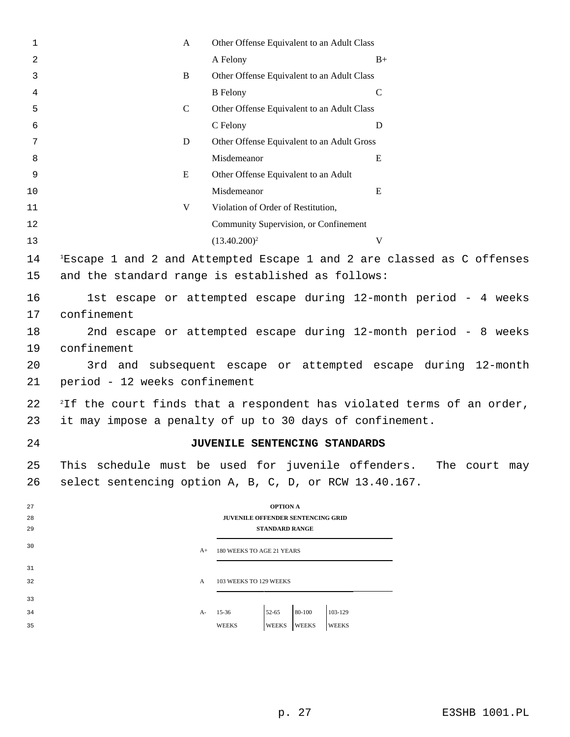| $\mathbf{1}$ | A                                                                                 | Other Offense Equivalent to an Adult Class             |                                                                                    |  |  |  |  |
|--------------|-----------------------------------------------------------------------------------|--------------------------------------------------------|------------------------------------------------------------------------------------|--|--|--|--|
| 2            |                                                                                   | A Felony                                               | $B+$                                                                               |  |  |  |  |
| 3            | $\, {\bf B}$                                                                      | Other Offense Equivalent to an Adult Class             |                                                                                    |  |  |  |  |
| 4            |                                                                                   | <b>B</b> Felony                                        | $\mathsf{C}$                                                                       |  |  |  |  |
| 5            | $\mathcal{C}$                                                                     | Other Offense Equivalent to an Adult Class             |                                                                                    |  |  |  |  |
| 6            |                                                                                   | C Felony                                               | D                                                                                  |  |  |  |  |
| 7            | D                                                                                 | Other Offense Equivalent to an Adult Gross             |                                                                                    |  |  |  |  |
| 8            |                                                                                   | Misdemeanor                                            | E                                                                                  |  |  |  |  |
| 9            | E                                                                                 | Other Offense Equivalent to an Adult                   |                                                                                    |  |  |  |  |
| 10           |                                                                                   | Misdemeanor                                            | Ε                                                                                  |  |  |  |  |
| 11           | V                                                                                 | Violation of Order of Restitution,                     |                                                                                    |  |  |  |  |
| 12           |                                                                                   | Community Supervision, or Confinement                  |                                                                                    |  |  |  |  |
| 13           |                                                                                   | $(13.40.200)^2$                                        | V                                                                                  |  |  |  |  |
| 14           |                                                                                   |                                                        | <sup>1</sup> Escape 1 and 2 and Attempted Escape 1 and 2 are classed as C offenses |  |  |  |  |
| 15           |                                                                                   | and the standard range is established as follows:      |                                                                                    |  |  |  |  |
|              |                                                                                   |                                                        |                                                                                    |  |  |  |  |
| 16           |                                                                                   |                                                        | 1st escape or attempted escape during 12-month period - 4 weeks                    |  |  |  |  |
| 17           | confinement                                                                       |                                                        |                                                                                    |  |  |  |  |
| 18           | 2nd escape or attempted escape during 12-month period - 8 weeks                   |                                                        |                                                                                    |  |  |  |  |
| 19           | confinement                                                                       |                                                        |                                                                                    |  |  |  |  |
| 20           | 3rd and subsequent escape or attempted escape during 12-month                     |                                                        |                                                                                    |  |  |  |  |
| 21           | period - 12 weeks confinement                                                     |                                                        |                                                                                    |  |  |  |  |
| 22           | <sup>2</sup> If the court finds that a respondent has violated terms of an order, |                                                        |                                                                                    |  |  |  |  |
| 23           | it may impose a penalty of up to 30 days of confinement.                          |                                                        |                                                                                    |  |  |  |  |
|              |                                                                                   |                                                        |                                                                                    |  |  |  |  |
| 24           |                                                                                   | JUVENILE SENTENCING STANDARDS                          |                                                                                    |  |  |  |  |
| 25           |                                                                                   |                                                        | This schedule must be used for juvenile offenders. The court may                   |  |  |  |  |
| 26           |                                                                                   | select sentencing option A, B, C, D, or RCW 13.40.167. |                                                                                    |  |  |  |  |
| 27           |                                                                                   | <b>OPTION A</b>                                        |                                                                                    |  |  |  |  |
| 28           |                                                                                   | JUVENILE OFFENDER SENTENCING GRID                      |                                                                                    |  |  |  |  |
| 29           |                                                                                   | <b>STANDARD RANGE</b>                                  |                                                                                    |  |  |  |  |
| 30           | $A+$                                                                              | 180 WEEKS TO AGE 21 YEARS                              |                                                                                    |  |  |  |  |
| 31           |                                                                                   |                                                        |                                                                                    |  |  |  |  |
| 32           | A                                                                                 | 103 WEEKS TO 129 WEEKS                                 |                                                                                    |  |  |  |  |
| 33           |                                                                                   |                                                        |                                                                                    |  |  |  |  |
| 34           | A-                                                                                | 80-100<br>103-129<br>$52 - 65$<br>15-36                |                                                                                    |  |  |  |  |
| 35           |                                                                                   | WEEKS<br><b>WEEKS</b><br><b>WEEKS</b><br><b>WEEKS</b>  |                                                                                    |  |  |  |  |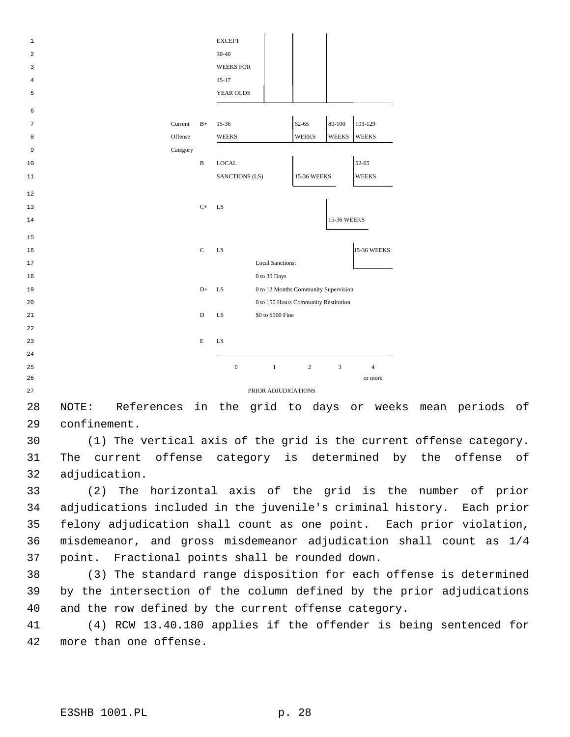| $\mathbf{1}$ |          |              | <b>EXCEPT</b>                    |                                      |                |                    |                    |
|--------------|----------|--------------|----------------------------------|--------------------------------------|----------------|--------------------|--------------------|
| 2            |          |              | 30-40                            |                                      |                |                    |                    |
| 3            |          |              | <b>WEEKS FOR</b>                 |                                      |                |                    |                    |
| 4            |          |              | $15 - 17$                        |                                      |                |                    |                    |
| 5            |          |              | YEAR OLDS                        |                                      |                |                    |                    |
| 6            |          |              |                                  |                                      |                |                    |                    |
| 7            | Current  | $B+$         | $15-36$                          |                                      | 52-65          | 80-100             | 103-129            |
|              | Offense  |              | <b>WEEKS</b>                     |                                      | <b>WEEKS</b>   | <b>WEEKS</b>       | <b>WEEKS</b>       |
| 8            |          |              |                                  |                                      |                |                    |                    |
| 9            | Category |              |                                  |                                      |                |                    |                    |
| 10           |          | $\, {\bf B}$ | $_{\mbox{\small\textsf{LOCAL}}}$ |                                      |                |                    | 52-65              |
| 11           |          |              | SANCTIONS (LS)                   |                                      | 15-36 WEEKS    |                    | <b>WEEKS</b>       |
| 12           |          |              |                                  |                                      |                |                    |                    |
| 13           |          | $C+$         | <b>LS</b>                        |                                      |                |                    |                    |
| 14           |          |              |                                  |                                      |                | <b>15-36 WEEKS</b> |                    |
|              |          |              |                                  |                                      |                |                    |                    |
| 15           |          |              |                                  |                                      |                |                    |                    |
| 16           |          | $\mathbf C$  | LS                               |                                      |                |                    | <b>15-36 WEEKS</b> |
| 17           |          |              |                                  | <b>Local Sanctions:</b>              |                |                    |                    |
| 18           |          |              |                                  | $0$ to $30~\mathrm{Days}$            |                |                    |                    |
| 19           |          | $D+$         | LS                               | 0 to 12 Months Community Supervision |                |                    |                    |
| 20           |          |              |                                  | 0 to 150 Hours Community Restitution |                |                    |                    |
| 21           |          | $\mathbf D$  | LS                               | \$0 to \$500 Fine                    |                |                    |                    |
| 22           |          |              |                                  |                                      |                |                    |                    |
| 23           |          | E            | LS                               |                                      |                |                    |                    |
| 24           |          |              |                                  |                                      |                |                    |                    |
| 25           |          |              | $\boldsymbol{0}$                 | $\mathbf{1}$                         | $\overline{c}$ | 3                  | $\overline{4}$     |
| 26           |          |              |                                  |                                      |                |                    | or more            |
| 27           |          |              |                                  | PRIOR ADJUDICATIONS                  |                |                    |                    |

 NOTE: References in the grid to days or weeks mean periods of confinement.

 (1) The vertical axis of the grid is the current offense category. The current offense category is determined by the offense of adjudication.

 (2) The horizontal axis of the grid is the number of prior adjudications included in the juvenile's criminal history. Each prior felony adjudication shall count as one point. Each prior violation, misdemeanor, and gross misdemeanor adjudication shall count as 1/4 point. Fractional points shall be rounded down.

 (3) The standard range disposition for each offense is determined by the intersection of the column defined by the prior adjudications and the row defined by the current offense category.

 (4) RCW 13.40.180 applies if the offender is being sentenced for more than one offense.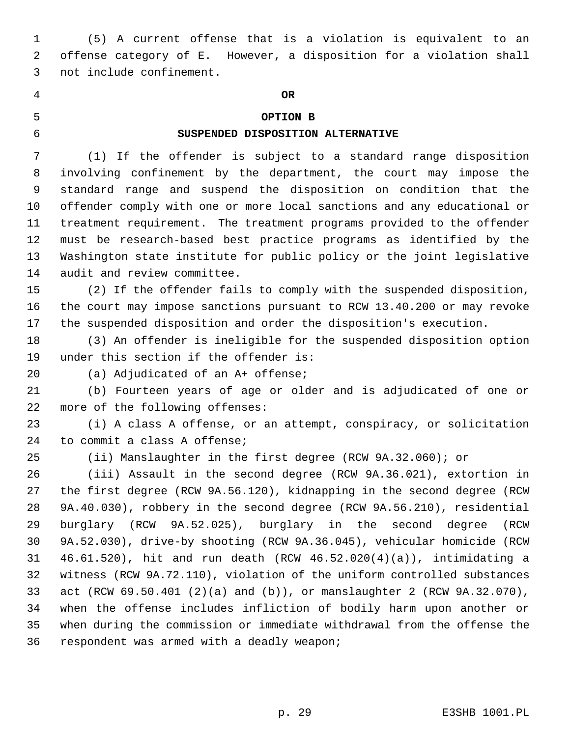(5) A current offense that is a violation is equivalent to an offense category of E. However, a disposition for a violation shall not include confinement.

## **OR**

## **OPTION B**

# **SUSPENDED DISPOSITION ALTERNATIVE**

 (1) If the offender is subject to a standard range disposition involving confinement by the department, the court may impose the standard range and suspend the disposition on condition that the offender comply with one or more local sanctions and any educational or treatment requirement. The treatment programs provided to the offender must be research-based best practice programs as identified by the Washington state institute for public policy or the joint legislative audit and review committee.

 (2) If the offender fails to comply with the suspended disposition, the court may impose sanctions pursuant to RCW 13.40.200 or may revoke the suspended disposition and order the disposition's execution.

 (3) An offender is ineligible for the suspended disposition option under this section if the offender is:

(a) Adjudicated of an A+ offense;

 (b) Fourteen years of age or older and is adjudicated of one or more of the following offenses:

 (i) A class A offense, or an attempt, conspiracy, or solicitation to commit a class A offense;

(ii) Manslaughter in the first degree (RCW 9A.32.060); or

 (iii) Assault in the second degree (RCW 9A.36.021), extortion in the first degree (RCW 9A.56.120), kidnapping in the second degree (RCW 9A.40.030), robbery in the second degree (RCW 9A.56.210), residential burglary (RCW 9A.52.025), burglary in the second degree (RCW 9A.52.030), drive-by shooting (RCW 9A.36.045), vehicular homicide (RCW 46.61.520), hit and run death (RCW 46.52.020(4)(a)), intimidating a witness (RCW 9A.72.110), violation of the uniform controlled substances act (RCW 69.50.401 (2)(a) and (b)), or manslaughter 2 (RCW 9A.32.070), when the offense includes infliction of bodily harm upon another or when during the commission or immediate withdrawal from the offense the respondent was armed with a deadly weapon;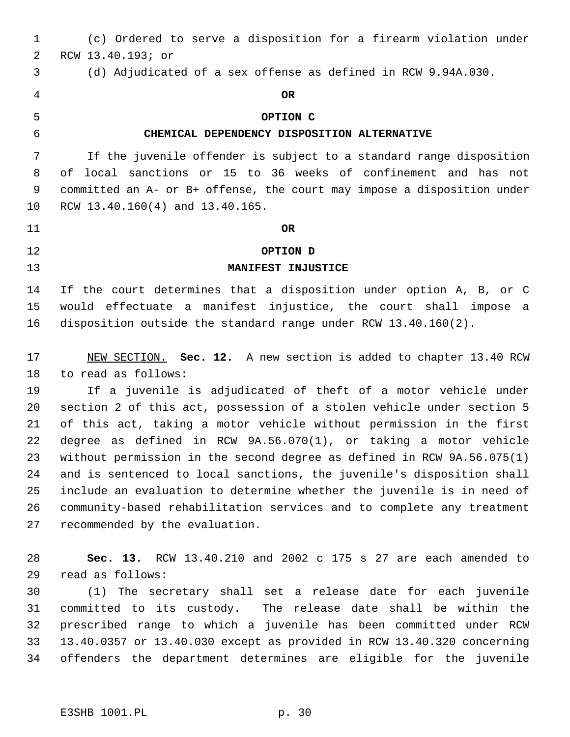(c) Ordered to serve a disposition for a firearm violation under RCW 13.40.193; or (d) Adjudicated of a sex offense as defined in RCW 9.94A.030. **OR OPTION C CHEMICAL DEPENDENCY DISPOSITION ALTERNATIVE** If the juvenile offender is subject to a standard range disposition of local sanctions or 15 to 36 weeks of confinement and has not committed an A- or B+ offense, the court may impose a disposition under RCW 13.40.160(4) and 13.40.165. **OR OPTION D MANIFEST INJUSTICE** If the court determines that a disposition under option A, B, or C would effectuate a manifest injustice, the court shall impose a disposition outside the standard range under RCW 13.40.160(2). NEW SECTION. **Sec. 12.** A new section is added to chapter 13.40 RCW to read as follows: If a juvenile is adjudicated of theft of a motor vehicle under section 2 of this act, possession of a stolen vehicle under section 5 of this act, taking a motor vehicle without permission in the first degree as defined in RCW 9A.56.070(1), or taking a motor vehicle without permission in the second degree as defined in RCW 9A.56.075(1) and is sentenced to local sanctions, the juvenile's disposition shall include an evaluation to determine whether the juvenile is in need of community-based rehabilitation services and to complete any treatment recommended by the evaluation. **Sec. 13.** RCW 13.40.210 and 2002 c 175 s 27 are each amended to read as follows: (1) The secretary shall set a release date for each juvenile committed to its custody. The release date shall be within the prescribed range to which a juvenile has been committed under RCW 13.40.0357 or 13.40.030 except as provided in RCW 13.40.320 concerning offenders the department determines are eligible for the juvenile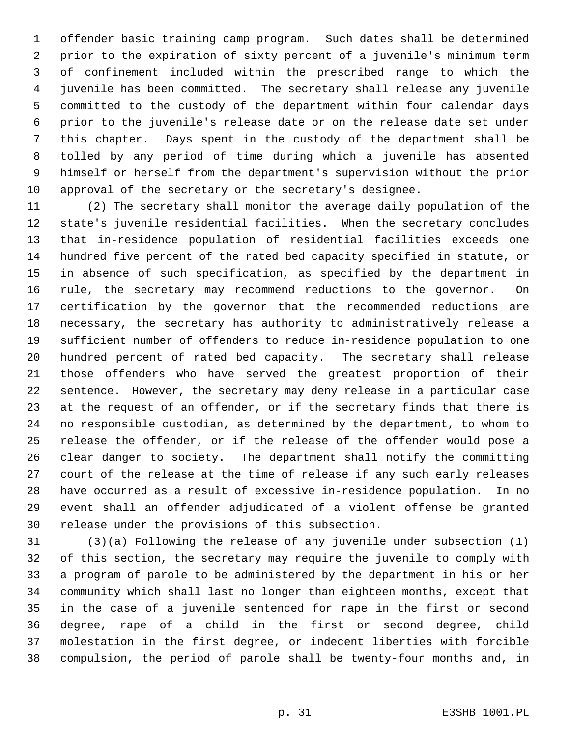offender basic training camp program. Such dates shall be determined prior to the expiration of sixty percent of a juvenile's minimum term of confinement included within the prescribed range to which the juvenile has been committed. The secretary shall release any juvenile committed to the custody of the department within four calendar days prior to the juvenile's release date or on the release date set under this chapter. Days spent in the custody of the department shall be tolled by any period of time during which a juvenile has absented himself or herself from the department's supervision without the prior approval of the secretary or the secretary's designee.

 (2) The secretary shall monitor the average daily population of the state's juvenile residential facilities. When the secretary concludes that in-residence population of residential facilities exceeds one hundred five percent of the rated bed capacity specified in statute, or in absence of such specification, as specified by the department in rule, the secretary may recommend reductions to the governor. On certification by the governor that the recommended reductions are necessary, the secretary has authority to administratively release a sufficient number of offenders to reduce in-residence population to one hundred percent of rated bed capacity. The secretary shall release those offenders who have served the greatest proportion of their sentence. However, the secretary may deny release in a particular case at the request of an offender, or if the secretary finds that there is no responsible custodian, as determined by the department, to whom to release the offender, or if the release of the offender would pose a clear danger to society. The department shall notify the committing court of the release at the time of release if any such early releases have occurred as a result of excessive in-residence population. In no event shall an offender adjudicated of a violent offense be granted release under the provisions of this subsection.

 (3)(a) Following the release of any juvenile under subsection (1) of this section, the secretary may require the juvenile to comply with a program of parole to be administered by the department in his or her community which shall last no longer than eighteen months, except that in the case of a juvenile sentenced for rape in the first or second degree, rape of a child in the first or second degree, child molestation in the first degree, or indecent liberties with forcible compulsion, the period of parole shall be twenty-four months and, in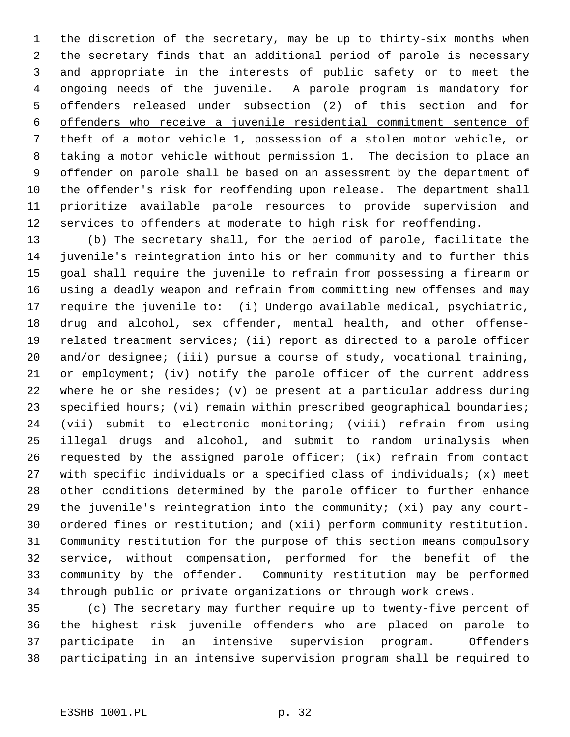the discretion of the secretary, may be up to thirty-six months when the secretary finds that an additional period of parole is necessary and appropriate in the interests of public safety or to meet the ongoing needs of the juvenile. A parole program is mandatory for offenders released under subsection (2) of this section and for offenders who receive a juvenile residential commitment sentence of theft of a motor vehicle 1, possession of a stolen motor vehicle, or 8 taking a motor vehicle without permission 1. The decision to place an offender on parole shall be based on an assessment by the department of the offender's risk for reoffending upon release. The department shall prioritize available parole resources to provide supervision and services to offenders at moderate to high risk for reoffending.

 (b) The secretary shall, for the period of parole, facilitate the juvenile's reintegration into his or her community and to further this goal shall require the juvenile to refrain from possessing a firearm or using a deadly weapon and refrain from committing new offenses and may require the juvenile to: (i) Undergo available medical, psychiatric, drug and alcohol, sex offender, mental health, and other offense- related treatment services; (ii) report as directed to a parole officer and/or designee; (iii) pursue a course of study, vocational training, or employment; (iv) notify the parole officer of the current address where he or she resides; (v) be present at a particular address during 23 specified hours; (vi) remain within prescribed geographical boundaries; (vii) submit to electronic monitoring; (viii) refrain from using illegal drugs and alcohol, and submit to random urinalysis when requested by the assigned parole officer; (ix) refrain from contact with specific individuals or a specified class of individuals; (x) meet other conditions determined by the parole officer to further enhance the juvenile's reintegration into the community; (xi) pay any court- ordered fines or restitution; and (xii) perform community restitution. Community restitution for the purpose of this section means compulsory service, without compensation, performed for the benefit of the community by the offender. Community restitution may be performed through public or private organizations or through work crews.

 (c) The secretary may further require up to twenty-five percent of the highest risk juvenile offenders who are placed on parole to participate in an intensive supervision program. Offenders participating in an intensive supervision program shall be required to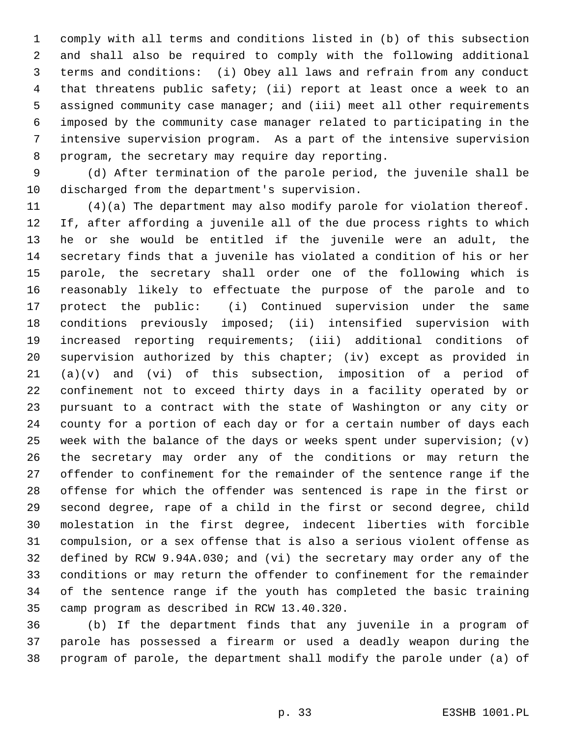comply with all terms and conditions listed in (b) of this subsection and shall also be required to comply with the following additional terms and conditions: (i) Obey all laws and refrain from any conduct that threatens public safety; (ii) report at least once a week to an assigned community case manager; and (iii) meet all other requirements imposed by the community case manager related to participating in the intensive supervision program. As a part of the intensive supervision program, the secretary may require day reporting.

 (d) After termination of the parole period, the juvenile shall be discharged from the department's supervision.

 (4)(a) The department may also modify parole for violation thereof. If, after affording a juvenile all of the due process rights to which he or she would be entitled if the juvenile were an adult, the secretary finds that a juvenile has violated a condition of his or her parole, the secretary shall order one of the following which is reasonably likely to effectuate the purpose of the parole and to protect the public: (i) Continued supervision under the same conditions previously imposed; (ii) intensified supervision with increased reporting requirements; (iii) additional conditions of supervision authorized by this chapter; (iv) except as provided in (a)(v) and (vi) of this subsection, imposition of a period of confinement not to exceed thirty days in a facility operated by or pursuant to a contract with the state of Washington or any city or county for a portion of each day or for a certain number of days each week with the balance of the days or weeks spent under supervision; (v) the secretary may order any of the conditions or may return the offender to confinement for the remainder of the sentence range if the offense for which the offender was sentenced is rape in the first or second degree, rape of a child in the first or second degree, child molestation in the first degree, indecent liberties with forcible compulsion, or a sex offense that is also a serious violent offense as defined by RCW 9.94A.030; and (vi) the secretary may order any of the conditions or may return the offender to confinement for the remainder of the sentence range if the youth has completed the basic training camp program as described in RCW 13.40.320.

 (b) If the department finds that any juvenile in a program of parole has possessed a firearm or used a deadly weapon during the program of parole, the department shall modify the parole under (a) of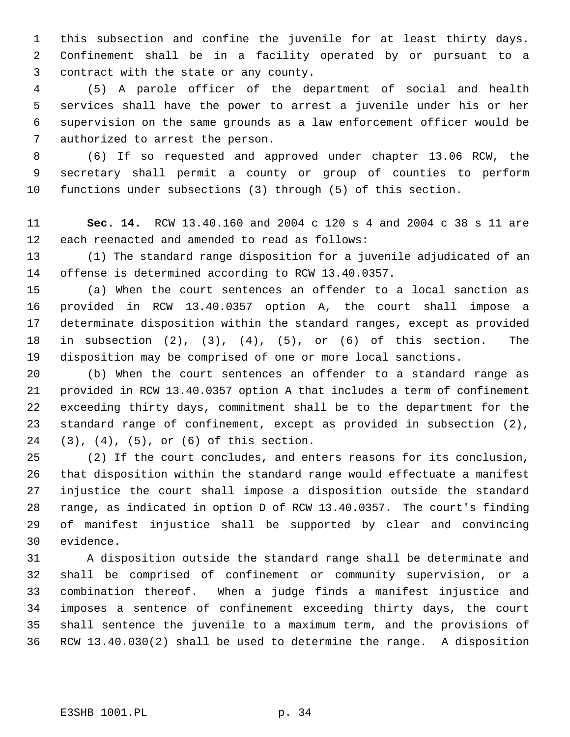this subsection and confine the juvenile for at least thirty days. Confinement shall be in a facility operated by or pursuant to a contract with the state or any county.

 (5) A parole officer of the department of social and health services shall have the power to arrest a juvenile under his or her supervision on the same grounds as a law enforcement officer would be authorized to arrest the person.

 (6) If so requested and approved under chapter 13.06 RCW, the secretary shall permit a county or group of counties to perform functions under subsections (3) through (5) of this section.

 **Sec. 14.** RCW 13.40.160 and 2004 c 120 s 4 and 2004 c 38 s 11 are each reenacted and amended to read as follows:

 (1) The standard range disposition for a juvenile adjudicated of an offense is determined according to RCW 13.40.0357.

 (a) When the court sentences an offender to a local sanction as provided in RCW 13.40.0357 option A, the court shall impose a determinate disposition within the standard ranges, except as provided in subsection (2), (3), (4), (5), or (6) of this section. The disposition may be comprised of one or more local sanctions.

 (b) When the court sentences an offender to a standard range as provided in RCW 13.40.0357 option A that includes a term of confinement exceeding thirty days, commitment shall be to the department for the standard range of confinement, except as provided in subsection (2), (3), (4), (5), or (6) of this section.

 (2) If the court concludes, and enters reasons for its conclusion, that disposition within the standard range would effectuate a manifest injustice the court shall impose a disposition outside the standard range, as indicated in option D of RCW 13.40.0357. The court's finding of manifest injustice shall be supported by clear and convincing evidence.

 A disposition outside the standard range shall be determinate and shall be comprised of confinement or community supervision, or a combination thereof. When a judge finds a manifest injustice and imposes a sentence of confinement exceeding thirty days, the court shall sentence the juvenile to a maximum term, and the provisions of RCW 13.40.030(2) shall be used to determine the range. A disposition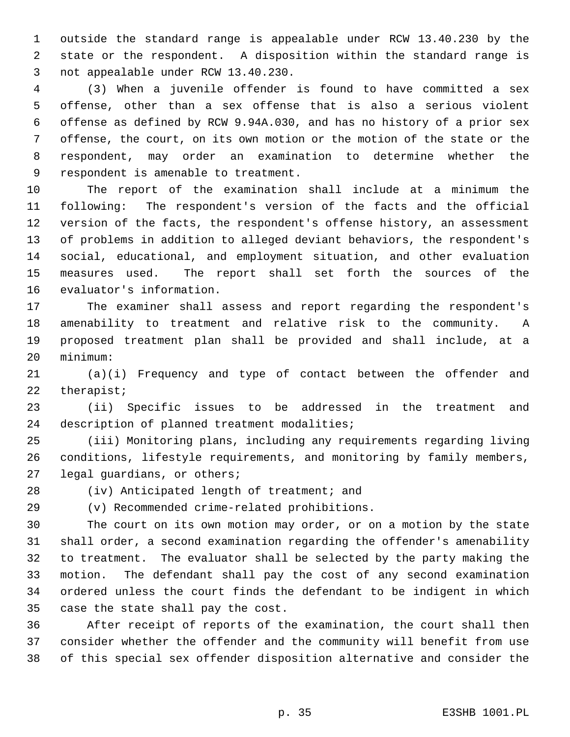outside the standard range is appealable under RCW 13.40.230 by the state or the respondent. A disposition within the standard range is not appealable under RCW 13.40.230.

 (3) When a juvenile offender is found to have committed a sex offense, other than a sex offense that is also a serious violent offense as defined by RCW 9.94A.030, and has no history of a prior sex offense, the court, on its own motion or the motion of the state or the respondent, may order an examination to determine whether the respondent is amenable to treatment.

 The report of the examination shall include at a minimum the following: The respondent's version of the facts and the official version of the facts, the respondent's offense history, an assessment of problems in addition to alleged deviant behaviors, the respondent's social, educational, and employment situation, and other evaluation measures used. The report shall set forth the sources of the evaluator's information.

 The examiner shall assess and report regarding the respondent's amenability to treatment and relative risk to the community. A proposed treatment plan shall be provided and shall include, at a minimum:

 (a)(i) Frequency and type of contact between the offender and therapist;

 (ii) Specific issues to be addressed in the treatment and description of planned treatment modalities;

 (iii) Monitoring plans, including any requirements regarding living conditions, lifestyle requirements, and monitoring by family members, legal guardians, or others;

(iv) Anticipated length of treatment; and

(v) Recommended crime-related prohibitions.

 The court on its own motion may order, or on a motion by the state shall order, a second examination regarding the offender's amenability to treatment. The evaluator shall be selected by the party making the motion. The defendant shall pay the cost of any second examination ordered unless the court finds the defendant to be indigent in which case the state shall pay the cost.

 After receipt of reports of the examination, the court shall then consider whether the offender and the community will benefit from use of this special sex offender disposition alternative and consider the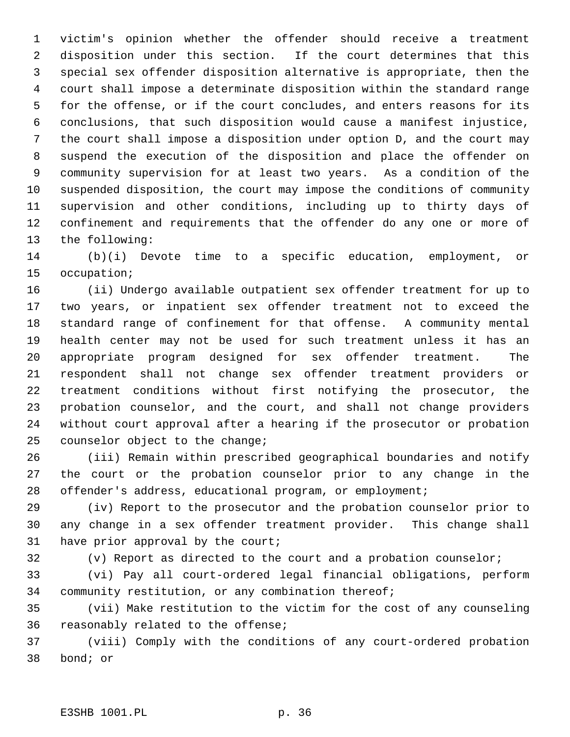victim's opinion whether the offender should receive a treatment disposition under this section. If the court determines that this special sex offender disposition alternative is appropriate, then the court shall impose a determinate disposition within the standard range for the offense, or if the court concludes, and enters reasons for its conclusions, that such disposition would cause a manifest injustice, the court shall impose a disposition under option D, and the court may suspend the execution of the disposition and place the offender on community supervision for at least two years. As a condition of the suspended disposition, the court may impose the conditions of community supervision and other conditions, including up to thirty days of confinement and requirements that the offender do any one or more of the following:

 (b)(i) Devote time to a specific education, employment, or occupation;

 (ii) Undergo available outpatient sex offender treatment for up to two years, or inpatient sex offender treatment not to exceed the standard range of confinement for that offense. A community mental health center may not be used for such treatment unless it has an appropriate program designed for sex offender treatment. The respondent shall not change sex offender treatment providers or treatment conditions without first notifying the prosecutor, the probation counselor, and the court, and shall not change providers without court approval after a hearing if the prosecutor or probation counselor object to the change;

 (iii) Remain within prescribed geographical boundaries and notify the court or the probation counselor prior to any change in the offender's address, educational program, or employment;

 (iv) Report to the prosecutor and the probation counselor prior to any change in a sex offender treatment provider. This change shall have prior approval by the court;

(v) Report as directed to the court and a probation counselor;

 (vi) Pay all court-ordered legal financial obligations, perform community restitution, or any combination thereof;

 (vii) Make restitution to the victim for the cost of any counseling reasonably related to the offense;

 (viii) Comply with the conditions of any court-ordered probation bond; or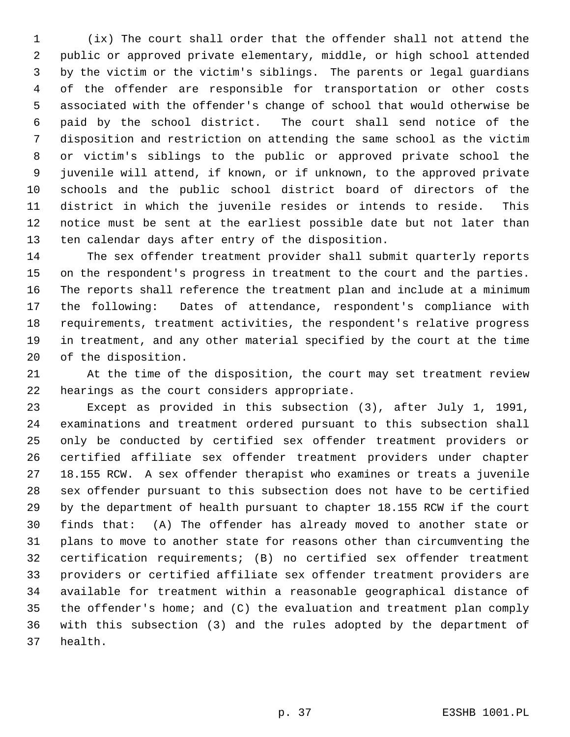(ix) The court shall order that the offender shall not attend the public or approved private elementary, middle, or high school attended by the victim or the victim's siblings. The parents or legal guardians of the offender are responsible for transportation or other costs associated with the offender's change of school that would otherwise be paid by the school district. The court shall send notice of the disposition and restriction on attending the same school as the victim or victim's siblings to the public or approved private school the juvenile will attend, if known, or if unknown, to the approved private schools and the public school district board of directors of the district in which the juvenile resides or intends to reside. This notice must be sent at the earliest possible date but not later than ten calendar days after entry of the disposition.

 The sex offender treatment provider shall submit quarterly reports on the respondent's progress in treatment to the court and the parties. The reports shall reference the treatment plan and include at a minimum the following: Dates of attendance, respondent's compliance with requirements, treatment activities, the respondent's relative progress in treatment, and any other material specified by the court at the time of the disposition.

 At the time of the disposition, the court may set treatment review hearings as the court considers appropriate.

 Except as provided in this subsection (3), after July 1, 1991, examinations and treatment ordered pursuant to this subsection shall only be conducted by certified sex offender treatment providers or certified affiliate sex offender treatment providers under chapter 18.155 RCW. A sex offender therapist who examines or treats a juvenile sex offender pursuant to this subsection does not have to be certified by the department of health pursuant to chapter 18.155 RCW if the court finds that: (A) The offender has already moved to another state or plans to move to another state for reasons other than circumventing the certification requirements; (B) no certified sex offender treatment providers or certified affiliate sex offender treatment providers are available for treatment within a reasonable geographical distance of the offender's home; and (C) the evaluation and treatment plan comply with this subsection (3) and the rules adopted by the department of health.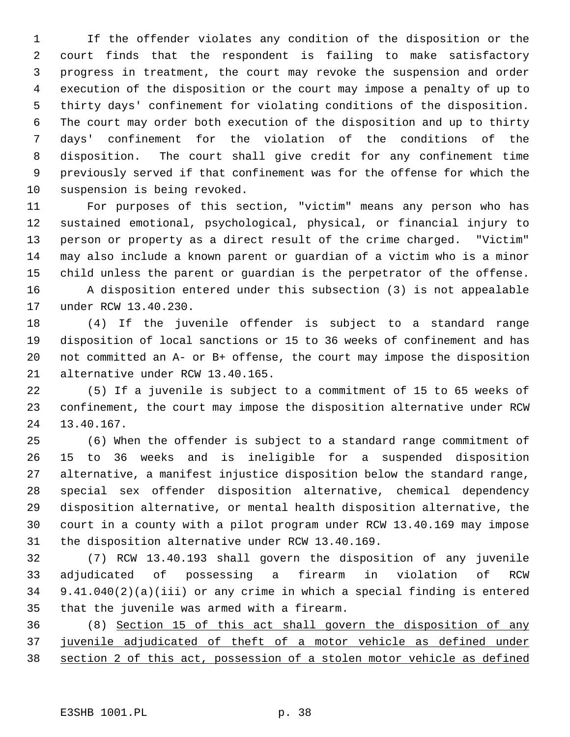If the offender violates any condition of the disposition or the court finds that the respondent is failing to make satisfactory progress in treatment, the court may revoke the suspension and order execution of the disposition or the court may impose a penalty of up to thirty days' confinement for violating conditions of the disposition. The court may order both execution of the disposition and up to thirty days' confinement for the violation of the conditions of the disposition. The court shall give credit for any confinement time previously served if that confinement was for the offense for which the suspension is being revoked.

 For purposes of this section, "victim" means any person who has sustained emotional, psychological, physical, or financial injury to person or property as a direct result of the crime charged. "Victim" may also include a known parent or guardian of a victim who is a minor child unless the parent or guardian is the perpetrator of the offense. A disposition entered under this subsection (3) is not appealable under RCW 13.40.230.

 (4) If the juvenile offender is subject to a standard range disposition of local sanctions or 15 to 36 weeks of confinement and has not committed an A- or B+ offense, the court may impose the disposition alternative under RCW 13.40.165.

 (5) If a juvenile is subject to a commitment of 15 to 65 weeks of confinement, the court may impose the disposition alternative under RCW 13.40.167.

 (6) When the offender is subject to a standard range commitment of 15 to 36 weeks and is ineligible for a suspended disposition alternative, a manifest injustice disposition below the standard range, special sex offender disposition alternative, chemical dependency disposition alternative, or mental health disposition alternative, the court in a county with a pilot program under RCW 13.40.169 may impose the disposition alternative under RCW 13.40.169.

 (7) RCW 13.40.193 shall govern the disposition of any juvenile adjudicated of possessing a firearm in violation of RCW 9.41.040(2)(a)(iii) or any crime in which a special finding is entered that the juvenile was armed with a firearm.

 (8) Section 15 of this act shall govern the disposition of any juvenile adjudicated of theft of a motor vehicle as defined under section 2 of this act, possession of a stolen motor vehicle as defined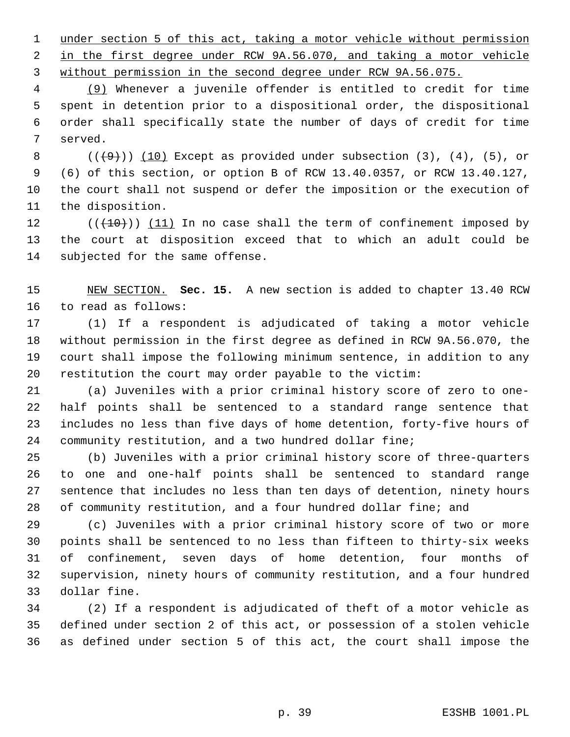under section 5 of this act, taking a motor vehicle without permission in the first degree under RCW 9A.56.070, and taking a motor vehicle 3 without permission in the second degree under RCW 9A.56.075.

 (9) Whenever a juvenile offender is entitled to credit for time spent in detention prior to a dispositional order, the dispositional order shall specifically state the number of days of credit for time served.

 $((+9))$   $(10)$  Except as provided under subsection  $(3)$ ,  $(4)$ ,  $(5)$ , or (6) of this section, or option B of RCW 13.40.0357, or RCW 13.40.127, the court shall not suspend or defer the imposition or the execution of the disposition.

 $((+10))$   $(11)$  In no case shall the term of confinement imposed by the court at disposition exceed that to which an adult could be subjected for the same offense.

 NEW SECTION. **Sec. 15.** A new section is added to chapter 13.40 RCW to read as follows:

 (1) If a respondent is adjudicated of taking a motor vehicle without permission in the first degree as defined in RCW 9A.56.070, the court shall impose the following minimum sentence, in addition to any restitution the court may order payable to the victim:

 (a) Juveniles with a prior criminal history score of zero to one- half points shall be sentenced to a standard range sentence that includes no less than five days of home detention, forty-five hours of community restitution, and a two hundred dollar fine;

 (b) Juveniles with a prior criminal history score of three-quarters to one and one-half points shall be sentenced to standard range sentence that includes no less than ten days of detention, ninety hours of community restitution, and a four hundred dollar fine; and

 (c) Juveniles with a prior criminal history score of two or more points shall be sentenced to no less than fifteen to thirty-six weeks of confinement, seven days of home detention, four months of supervision, ninety hours of community restitution, and a four hundred dollar fine.

 (2) If a respondent is adjudicated of theft of a motor vehicle as defined under section 2 of this act, or possession of a stolen vehicle as defined under section 5 of this act, the court shall impose the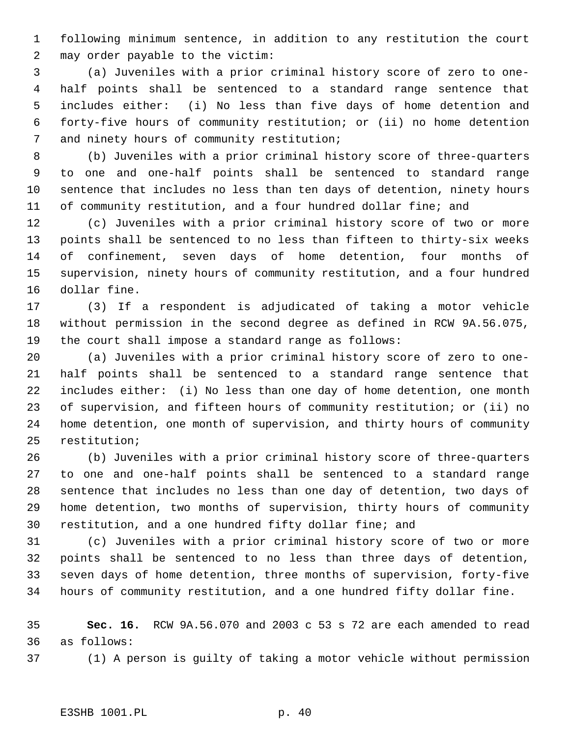following minimum sentence, in addition to any restitution the court may order payable to the victim:

 (a) Juveniles with a prior criminal history score of zero to one- half points shall be sentenced to a standard range sentence that includes either: (i) No less than five days of home detention and forty-five hours of community restitution; or (ii) no home detention and ninety hours of community restitution;

 (b) Juveniles with a prior criminal history score of three-quarters to one and one-half points shall be sentenced to standard range sentence that includes no less than ten days of detention, ninety hours of community restitution, and a four hundred dollar fine; and

 (c) Juveniles with a prior criminal history score of two or more points shall be sentenced to no less than fifteen to thirty-six weeks of confinement, seven days of home detention, four months of supervision, ninety hours of community restitution, and a four hundred dollar fine.

 (3) If a respondent is adjudicated of taking a motor vehicle without permission in the second degree as defined in RCW 9A.56.075, the court shall impose a standard range as follows:

 (a) Juveniles with a prior criminal history score of zero to one- half points shall be sentenced to a standard range sentence that includes either: (i) No less than one day of home detention, one month of supervision, and fifteen hours of community restitution; or (ii) no home detention, one month of supervision, and thirty hours of community restitution;

 (b) Juveniles with a prior criminal history score of three-quarters to one and one-half points shall be sentenced to a standard range sentence that includes no less than one day of detention, two days of home detention, two months of supervision, thirty hours of community restitution, and a one hundred fifty dollar fine; and

 (c) Juveniles with a prior criminal history score of two or more points shall be sentenced to no less than three days of detention, seven days of home detention, three months of supervision, forty-five hours of community restitution, and a one hundred fifty dollar fine.

 **Sec. 16.** RCW 9A.56.070 and 2003 c 53 s 72 are each amended to read as follows:

(1) A person is guilty of taking a motor vehicle without permission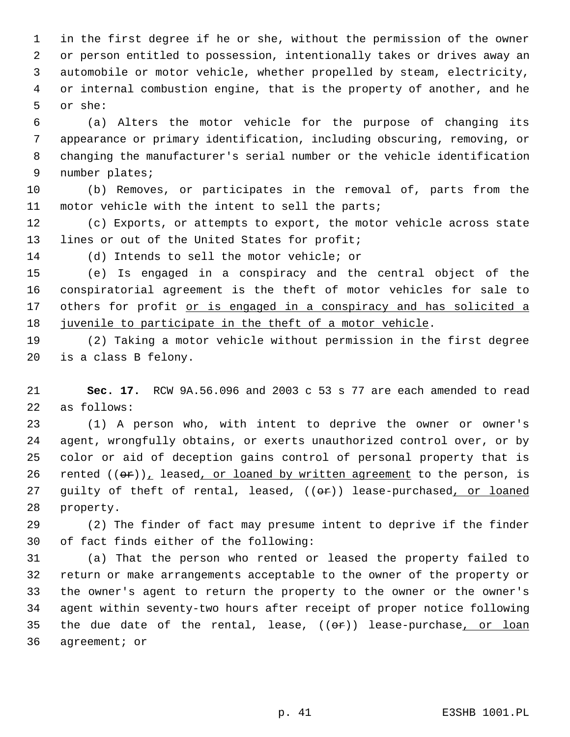in the first degree if he or she, without the permission of the owner or person entitled to possession, intentionally takes or drives away an automobile or motor vehicle, whether propelled by steam, electricity, or internal combustion engine, that is the property of another, and he or she:

 (a) Alters the motor vehicle for the purpose of changing its appearance or primary identification, including obscuring, removing, or changing the manufacturer's serial number or the vehicle identification number plates;

 (b) Removes, or participates in the removal of, parts from the motor vehicle with the intent to sell the parts;

 (c) Exports, or attempts to export, the motor vehicle across state 13 lines or out of the United States for profit;

(d) Intends to sell the motor vehicle; or

 (e) Is engaged in a conspiracy and the central object of the conspiratorial agreement is the theft of motor vehicles for sale to 17 others for profit or is engaged in a conspiracy and has solicited a 18 juvenile to participate in the theft of a motor vehicle.

 (2) Taking a motor vehicle without permission in the first degree is a class B felony.

 **Sec. 17.** RCW 9A.56.096 and 2003 c 53 s 77 are each amended to read as follows:

 (1) A person who, with intent to deprive the owner or owner's agent, wrongfully obtains, or exerts unauthorized control over, or by color or aid of deception gains control of personal property that is 26 rented  $((\theta \cdot r)_L)$  leased, or loaned by written agreement to the person, is 27 guilty of theft of rental, leased, ((or)) lease-purchased, or loaned property.

 (2) The finder of fact may presume intent to deprive if the finder of fact finds either of the following:

 (a) That the person who rented or leased the property failed to return or make arrangements acceptable to the owner of the property or the owner's agent to return the property to the owner or the owner's agent within seventy-two hours after receipt of proper notice following 35 the due date of the rental, lease,  $((e<sub>r</sub>))$  lease-purchase, or loan agreement; or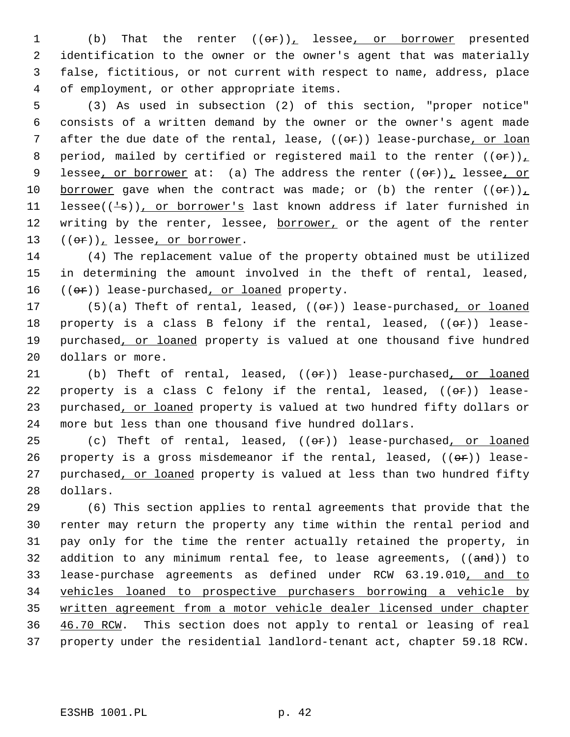1 (b) That the renter  $((\theta \hat{r}))_L$  lessee<sub>l</sub> or borrower presented identification to the owner or the owner's agent that was materially false, fictitious, or not current with respect to name, address, place of employment, or other appropriate items.

 5 (3) As used in subsection (2) of this section, "proper notice" 6 consists of a written demand by the owner or the owner's agent made 7 after the due date of the rental, lease,  $((or))$  lease-purchase, or loan 8 period, mailed by certified or registered mail to the renter  $((\theta \cdot \mathbf{r}))_L$ 9 lessee, or borrower at: (a) The address the renter  $((\theta F))_L$  lessee, or 10 borrower gave when the contract was made; or (b) the renter  $((\theta \cdot \mathbf{r}))_L$ 11 lessee( $(\frac{1}{s})$ ), or borrower's last known address if later furnished in 12 writing by the renter, lessee, borrower, or the agent of the renter 13  $((er))_t$  lessee, or borrower.

14 (4) The replacement value of the property obtained must be utilized 15 in determining the amount involved in the theft of rental, leased, 16 ((or)) lease-purchased, or loaned property.

17 (5)(a) Theft of rental, leased, ((or)) lease-purchased, or loaned 18 property is a class B felony if the rental, leased,  $((\theta \cdot \hat{r}))$  lease-19 purchased, or loaned property is valued at one thousand five hundred 20 dollars or more.

21 (b) Theft of rental, leased,  $((e^P))^2$  lease-purchased, or loaned 22 property is a class C felony if the rental, leased,  $((\theta \cdot \mathbf{r}))$  lease-23 purchased, or loaned property is valued at two hundred fifty dollars or 24 more but less than one thousand five hundred dollars.

25 (c) Theft of rental, leased,  $((e^*)$  lease-purchased, or loaned 26 property is a gross misdemeanor if the rental, leased,  $((e^{\alpha})^2)$  lease-27 purchased, or loaned property is valued at less than two hundred fifty 28 dollars.

 (6) This section applies to rental agreements that provide that the renter may return the property any time within the rental period and pay only for the time the renter actually retained the property, in 32 addition to any minimum rental fee, to lease agreements, ((and)) to lease-purchase agreements as defined under RCW 63.19.010, and to vehicles loaned to prospective purchasers borrowing a vehicle by written agreement from a motor vehicle dealer licensed under chapter 36 46.70 RCW. This section does not apply to rental or leasing of real property under the residential landlord-tenant act, chapter 59.18 RCW.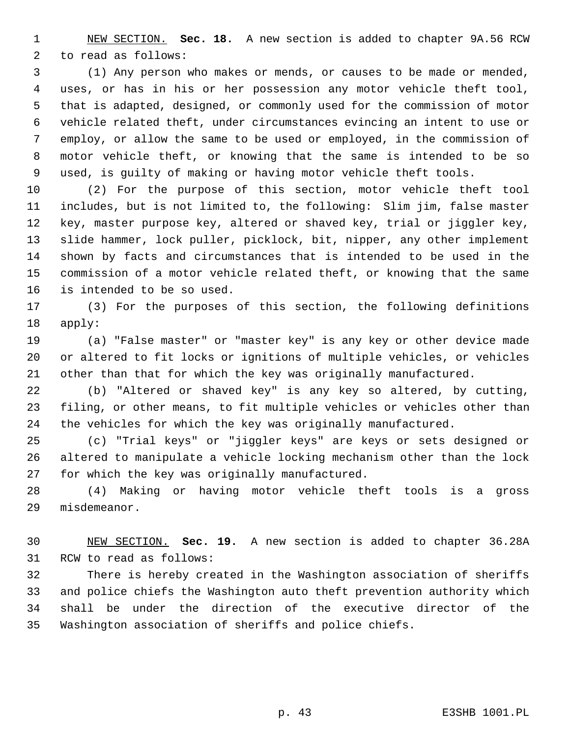NEW SECTION. **Sec. 18.** A new section is added to chapter 9A.56 RCW to read as follows:

 (1) Any person who makes or mends, or causes to be made or mended, uses, or has in his or her possession any motor vehicle theft tool, that is adapted, designed, or commonly used for the commission of motor vehicle related theft, under circumstances evincing an intent to use or employ, or allow the same to be used or employed, in the commission of motor vehicle theft, or knowing that the same is intended to be so used, is guilty of making or having motor vehicle theft tools.

 (2) For the purpose of this section, motor vehicle theft tool includes, but is not limited to, the following: Slim jim, false master key, master purpose key, altered or shaved key, trial or jiggler key, slide hammer, lock puller, picklock, bit, nipper, any other implement shown by facts and circumstances that is intended to be used in the commission of a motor vehicle related theft, or knowing that the same is intended to be so used.

 (3) For the purposes of this section, the following definitions apply:

 (a) "False master" or "master key" is any key or other device made or altered to fit locks or ignitions of multiple vehicles, or vehicles other than that for which the key was originally manufactured.

 (b) "Altered or shaved key" is any key so altered, by cutting, filing, or other means, to fit multiple vehicles or vehicles other than the vehicles for which the key was originally manufactured.

 (c) "Trial keys" or "jiggler keys" are keys or sets designed or altered to manipulate a vehicle locking mechanism other than the lock for which the key was originally manufactured.

 (4) Making or having motor vehicle theft tools is a gross misdemeanor.

 NEW SECTION. **Sec. 19.** A new section is added to chapter 36.28A RCW to read as follows:

 There is hereby created in the Washington association of sheriffs and police chiefs the Washington auto theft prevention authority which shall be under the direction of the executive director of the Washington association of sheriffs and police chiefs.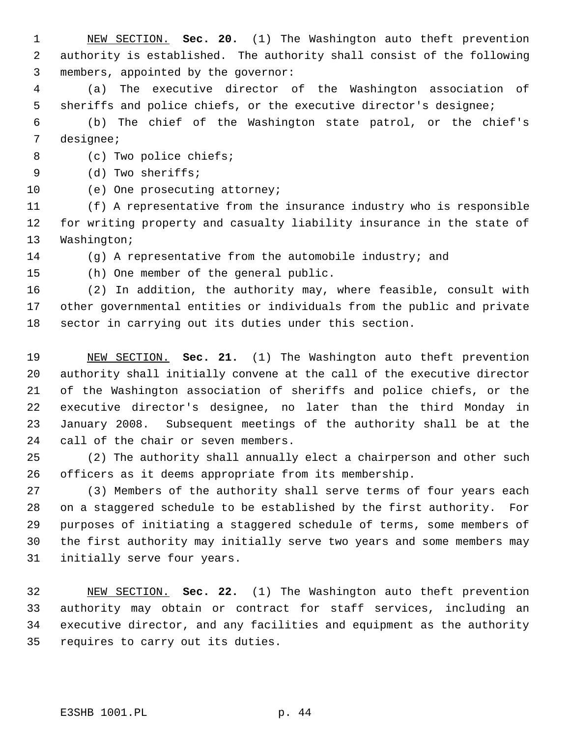NEW SECTION. **Sec. 20.** (1) The Washington auto theft prevention authority is established. The authority shall consist of the following members, appointed by the governor:

 (a) The executive director of the Washington association of sheriffs and police chiefs, or the executive director's designee;

 (b) The chief of the Washington state patrol, or the chief's designee;

8 (c) Two police chiefs;

(d) Two sheriffs;

(e) One prosecuting attorney;

 (f) A representative from the insurance industry who is responsible for writing property and casualty liability insurance in the state of Washington;

(g) A representative from the automobile industry; and

(h) One member of the general public.

 (2) In addition, the authority may, where feasible, consult with other governmental entities or individuals from the public and private sector in carrying out its duties under this section.

 NEW SECTION. **Sec. 21.** (1) The Washington auto theft prevention authority shall initially convene at the call of the executive director of the Washington association of sheriffs and police chiefs, or the executive director's designee, no later than the third Monday in January 2008. Subsequent meetings of the authority shall be at the call of the chair or seven members.

 (2) The authority shall annually elect a chairperson and other such officers as it deems appropriate from its membership.

 (3) Members of the authority shall serve terms of four years each on a staggered schedule to be established by the first authority. For purposes of initiating a staggered schedule of terms, some members of the first authority may initially serve two years and some members may initially serve four years.

 NEW SECTION. **Sec. 22.** (1) The Washington auto theft prevention authority may obtain or contract for staff services, including an executive director, and any facilities and equipment as the authority requires to carry out its duties.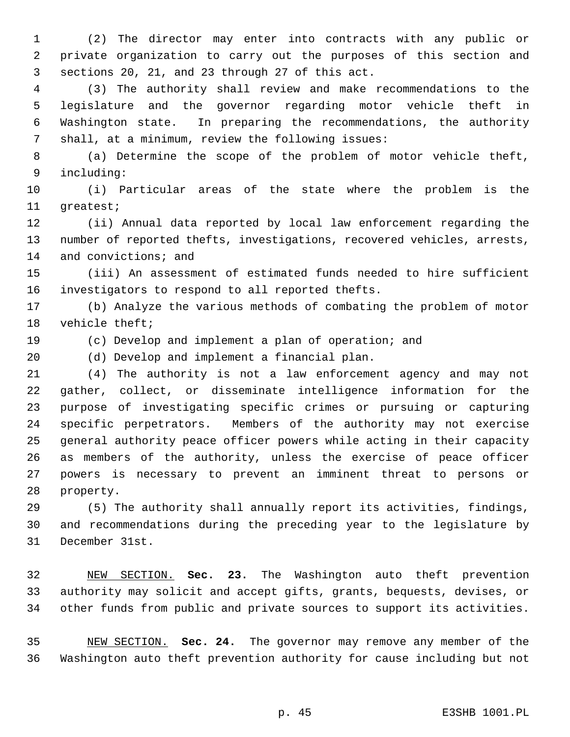(2) The director may enter into contracts with any public or private organization to carry out the purposes of this section and sections 20, 21, and 23 through 27 of this act.

 (3) The authority shall review and make recommendations to the legislature and the governor regarding motor vehicle theft in Washington state. In preparing the recommendations, the authority shall, at a minimum, review the following issues:

 (a) Determine the scope of the problem of motor vehicle theft, including:

 (i) Particular areas of the state where the problem is the greatest;

 (ii) Annual data reported by local law enforcement regarding the number of reported thefts, investigations, recovered vehicles, arrests, 14 and convictions; and

 (iii) An assessment of estimated funds needed to hire sufficient investigators to respond to all reported thefts.

 (b) Analyze the various methods of combating the problem of motor vehicle theft;

(c) Develop and implement a plan of operation; and

(d) Develop and implement a financial plan.

 (4) The authority is not a law enforcement agency and may not gather, collect, or disseminate intelligence information for the purpose of investigating specific crimes or pursuing or capturing specific perpetrators. Members of the authority may not exercise general authority peace officer powers while acting in their capacity as members of the authority, unless the exercise of peace officer powers is necessary to prevent an imminent threat to persons or property.

 (5) The authority shall annually report its activities, findings, and recommendations during the preceding year to the legislature by December 31st.

 NEW SECTION. **Sec. 23.** The Washington auto theft prevention authority may solicit and accept gifts, grants, bequests, devises, or other funds from public and private sources to support its activities.

 NEW SECTION. **Sec. 24.** The governor may remove any member of the Washington auto theft prevention authority for cause including but not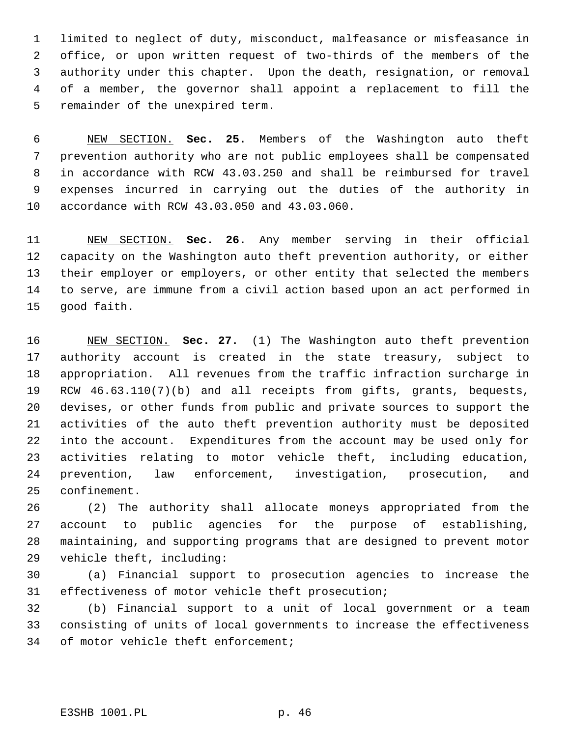limited to neglect of duty, misconduct, malfeasance or misfeasance in office, or upon written request of two-thirds of the members of the authority under this chapter. Upon the death, resignation, or removal of a member, the governor shall appoint a replacement to fill the remainder of the unexpired term.

 NEW SECTION. **Sec. 25.** Members of the Washington auto theft prevention authority who are not public employees shall be compensated in accordance with RCW 43.03.250 and shall be reimbursed for travel expenses incurred in carrying out the duties of the authority in accordance with RCW 43.03.050 and 43.03.060.

 NEW SECTION. **Sec. 26.** Any member serving in their official capacity on the Washington auto theft prevention authority, or either their employer or employers, or other entity that selected the members to serve, are immune from a civil action based upon an act performed in good faith.

 NEW SECTION. **Sec. 27.** (1) The Washington auto theft prevention authority account is created in the state treasury, subject to appropriation. All revenues from the traffic infraction surcharge in RCW 46.63.110(7)(b) and all receipts from gifts, grants, bequests, devises, or other funds from public and private sources to support the activities of the auto theft prevention authority must be deposited into the account. Expenditures from the account may be used only for activities relating to motor vehicle theft, including education, prevention, law enforcement, investigation, prosecution, and confinement.

 (2) The authority shall allocate moneys appropriated from the account to public agencies for the purpose of establishing, maintaining, and supporting programs that are designed to prevent motor vehicle theft, including:

 (a) Financial support to prosecution agencies to increase the effectiveness of motor vehicle theft prosecution;

 (b) Financial support to a unit of local government or a team consisting of units of local governments to increase the effectiveness of motor vehicle theft enforcement;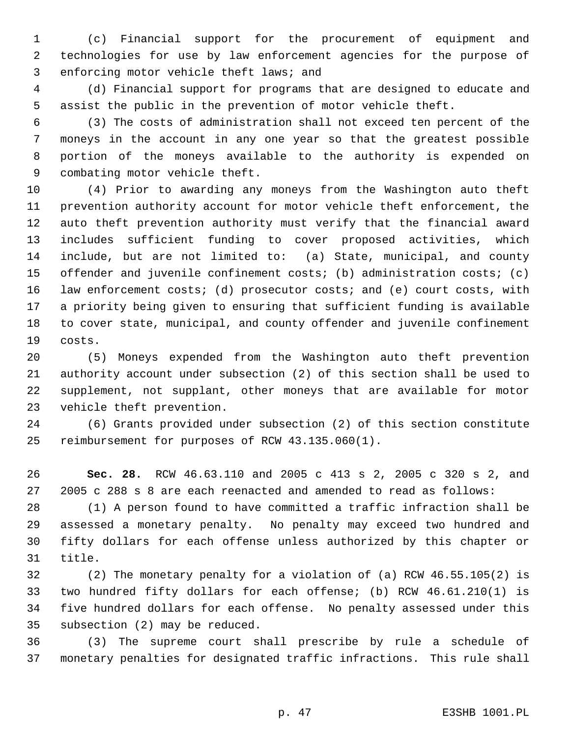(c) Financial support for the procurement of equipment and technologies for use by law enforcement agencies for the purpose of enforcing motor vehicle theft laws; and

 (d) Financial support for programs that are designed to educate and assist the public in the prevention of motor vehicle theft.

 (3) The costs of administration shall not exceed ten percent of the moneys in the account in any one year so that the greatest possible portion of the moneys available to the authority is expended on combating motor vehicle theft.

 (4) Prior to awarding any moneys from the Washington auto theft prevention authority account for motor vehicle theft enforcement, the auto theft prevention authority must verify that the financial award includes sufficient funding to cover proposed activities, which include, but are not limited to: (a) State, municipal, and county offender and juvenile confinement costs; (b) administration costs; (c) law enforcement costs; (d) prosecutor costs; and (e) court costs, with a priority being given to ensuring that sufficient funding is available to cover state, municipal, and county offender and juvenile confinement costs.

 (5) Moneys expended from the Washington auto theft prevention authority account under subsection (2) of this section shall be used to supplement, not supplant, other moneys that are available for motor vehicle theft prevention.

 (6) Grants provided under subsection (2) of this section constitute reimbursement for purposes of RCW 43.135.060(1).

 **Sec. 28.** RCW 46.63.110 and 2005 c 413 s 2, 2005 c 320 s 2, and 2005 c 288 s 8 are each reenacted and amended to read as follows:

 (1) A person found to have committed a traffic infraction shall be assessed a monetary penalty. No penalty may exceed two hundred and fifty dollars for each offense unless authorized by this chapter or title.

 (2) The monetary penalty for a violation of (a) RCW 46.55.105(2) is two hundred fifty dollars for each offense; (b) RCW 46.61.210(1) is five hundred dollars for each offense. No penalty assessed under this subsection (2) may be reduced.

 (3) The supreme court shall prescribe by rule a schedule of monetary penalties for designated traffic infractions. This rule shall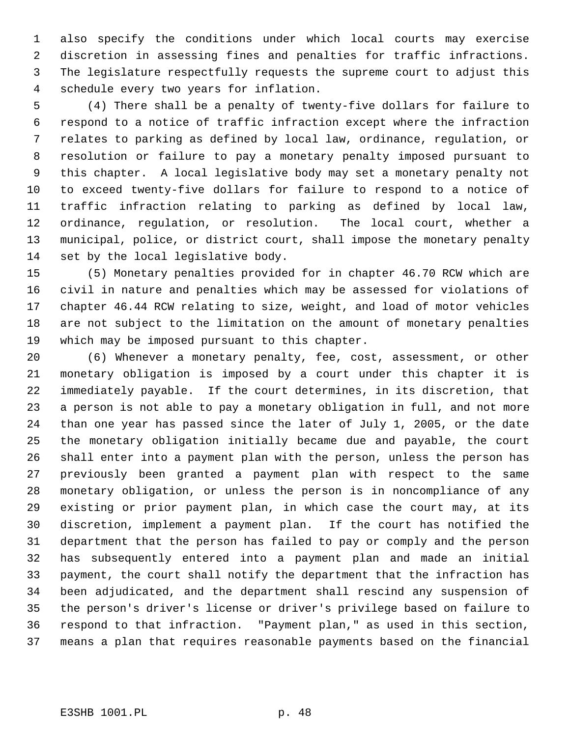also specify the conditions under which local courts may exercise discretion in assessing fines and penalties for traffic infractions. The legislature respectfully requests the supreme court to adjust this schedule every two years for inflation.

 (4) There shall be a penalty of twenty-five dollars for failure to respond to a notice of traffic infraction except where the infraction relates to parking as defined by local law, ordinance, regulation, or resolution or failure to pay a monetary penalty imposed pursuant to this chapter. A local legislative body may set a monetary penalty not to exceed twenty-five dollars for failure to respond to a notice of traffic infraction relating to parking as defined by local law, ordinance, regulation, or resolution. The local court, whether a municipal, police, or district court, shall impose the monetary penalty set by the local legislative body.

 (5) Monetary penalties provided for in chapter 46.70 RCW which are civil in nature and penalties which may be assessed for violations of chapter 46.44 RCW relating to size, weight, and load of motor vehicles are not subject to the limitation on the amount of monetary penalties which may be imposed pursuant to this chapter.

 (6) Whenever a monetary penalty, fee, cost, assessment, or other monetary obligation is imposed by a court under this chapter it is immediately payable. If the court determines, in its discretion, that a person is not able to pay a monetary obligation in full, and not more than one year has passed since the later of July 1, 2005, or the date the monetary obligation initially became due and payable, the court shall enter into a payment plan with the person, unless the person has previously been granted a payment plan with respect to the same monetary obligation, or unless the person is in noncompliance of any existing or prior payment plan, in which case the court may, at its discretion, implement a payment plan. If the court has notified the department that the person has failed to pay or comply and the person has subsequently entered into a payment plan and made an initial payment, the court shall notify the department that the infraction has been adjudicated, and the department shall rescind any suspension of the person's driver's license or driver's privilege based on failure to respond to that infraction. "Payment plan," as used in this section, means a plan that requires reasonable payments based on the financial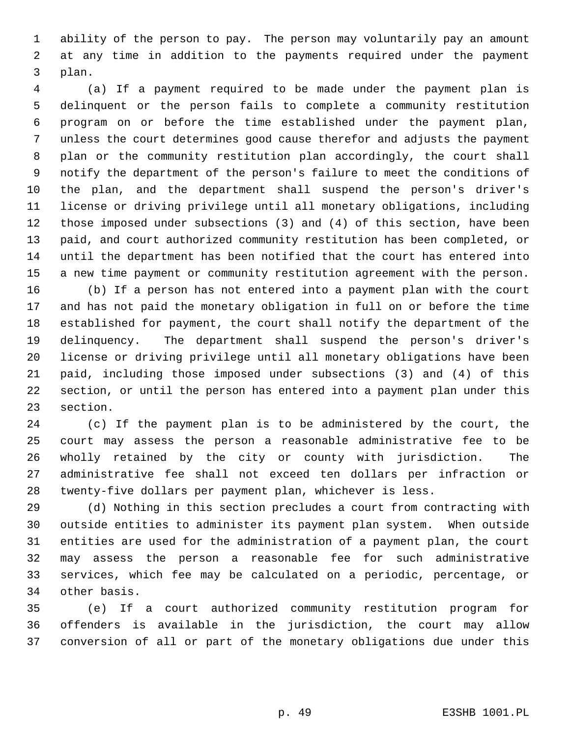ability of the person to pay. The person may voluntarily pay an amount at any time in addition to the payments required under the payment plan.

 (a) If a payment required to be made under the payment plan is delinquent or the person fails to complete a community restitution program on or before the time established under the payment plan, unless the court determines good cause therefor and adjusts the payment plan or the community restitution plan accordingly, the court shall notify the department of the person's failure to meet the conditions of the plan, and the department shall suspend the person's driver's license or driving privilege until all monetary obligations, including those imposed under subsections (3) and (4) of this section, have been paid, and court authorized community restitution has been completed, or until the department has been notified that the court has entered into a new time payment or community restitution agreement with the person. (b) If a person has not entered into a payment plan with the court and has not paid the monetary obligation in full on or before the time established for payment, the court shall notify the department of the delinquency. The department shall suspend the person's driver's license or driving privilege until all monetary obligations have been paid, including those imposed under subsections (3) and (4) of this

 section, or until the person has entered into a payment plan under this section.

 (c) If the payment plan is to be administered by the court, the court may assess the person a reasonable administrative fee to be wholly retained by the city or county with jurisdiction. The administrative fee shall not exceed ten dollars per infraction or twenty-five dollars per payment plan, whichever is less.

 (d) Nothing in this section precludes a court from contracting with outside entities to administer its payment plan system. When outside entities are used for the administration of a payment plan, the court may assess the person a reasonable fee for such administrative services, which fee may be calculated on a periodic, percentage, or other basis.

 (e) If a court authorized community restitution program for offenders is available in the jurisdiction, the court may allow conversion of all or part of the monetary obligations due under this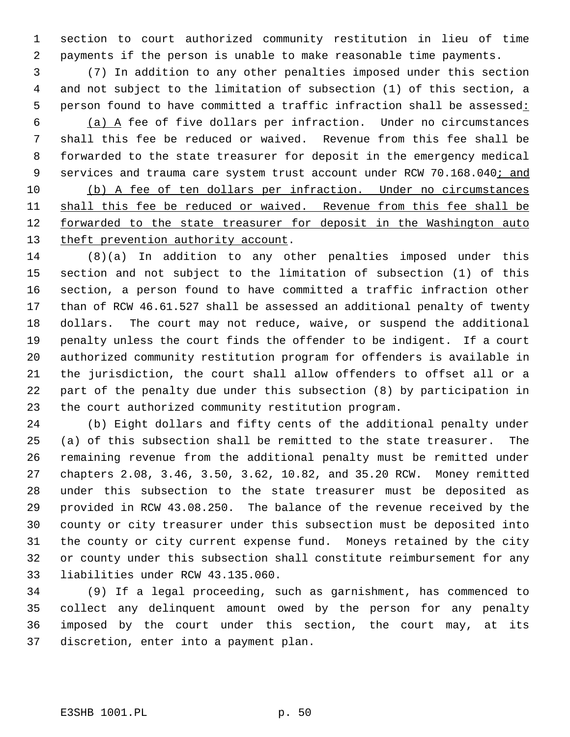section to court authorized community restitution in lieu of time payments if the person is unable to make reasonable time payments.

 (7) In addition to any other penalties imposed under this section and not subject to the limitation of subsection (1) of this section, a 5 person found to have committed a traffic infraction shall be assessed:

 (a)  $A$  fee of five dollars per infraction. Under no circumstances shall this fee be reduced or waived. Revenue from this fee shall be forwarded to the state treasurer for deposit in the emergency medical 9 services and trauma care system trust account under RCW 70.168.040; and

 (b) A fee of ten dollars per infraction. Under no circumstances 11 shall this fee be reduced or waived. Revenue from this fee shall be 12 forwarded to the state treasurer for deposit in the Washington auto 13 theft prevention authority account.

 (8)(a) In addition to any other penalties imposed under this section and not subject to the limitation of subsection (1) of this section, a person found to have committed a traffic infraction other than of RCW 46.61.527 shall be assessed an additional penalty of twenty dollars. The court may not reduce, waive, or suspend the additional penalty unless the court finds the offender to be indigent. If a court authorized community restitution program for offenders is available in the jurisdiction, the court shall allow offenders to offset all or a part of the penalty due under this subsection (8) by participation in the court authorized community restitution program.

 (b) Eight dollars and fifty cents of the additional penalty under (a) of this subsection shall be remitted to the state treasurer. The remaining revenue from the additional penalty must be remitted under chapters 2.08, 3.46, 3.50, 3.62, 10.82, and 35.20 RCW. Money remitted under this subsection to the state treasurer must be deposited as provided in RCW 43.08.250. The balance of the revenue received by the county or city treasurer under this subsection must be deposited into the county or city current expense fund. Moneys retained by the city or county under this subsection shall constitute reimbursement for any liabilities under RCW 43.135.060.

 (9) If a legal proceeding, such as garnishment, has commenced to collect any delinquent amount owed by the person for any penalty imposed by the court under this section, the court may, at its discretion, enter into a payment plan.